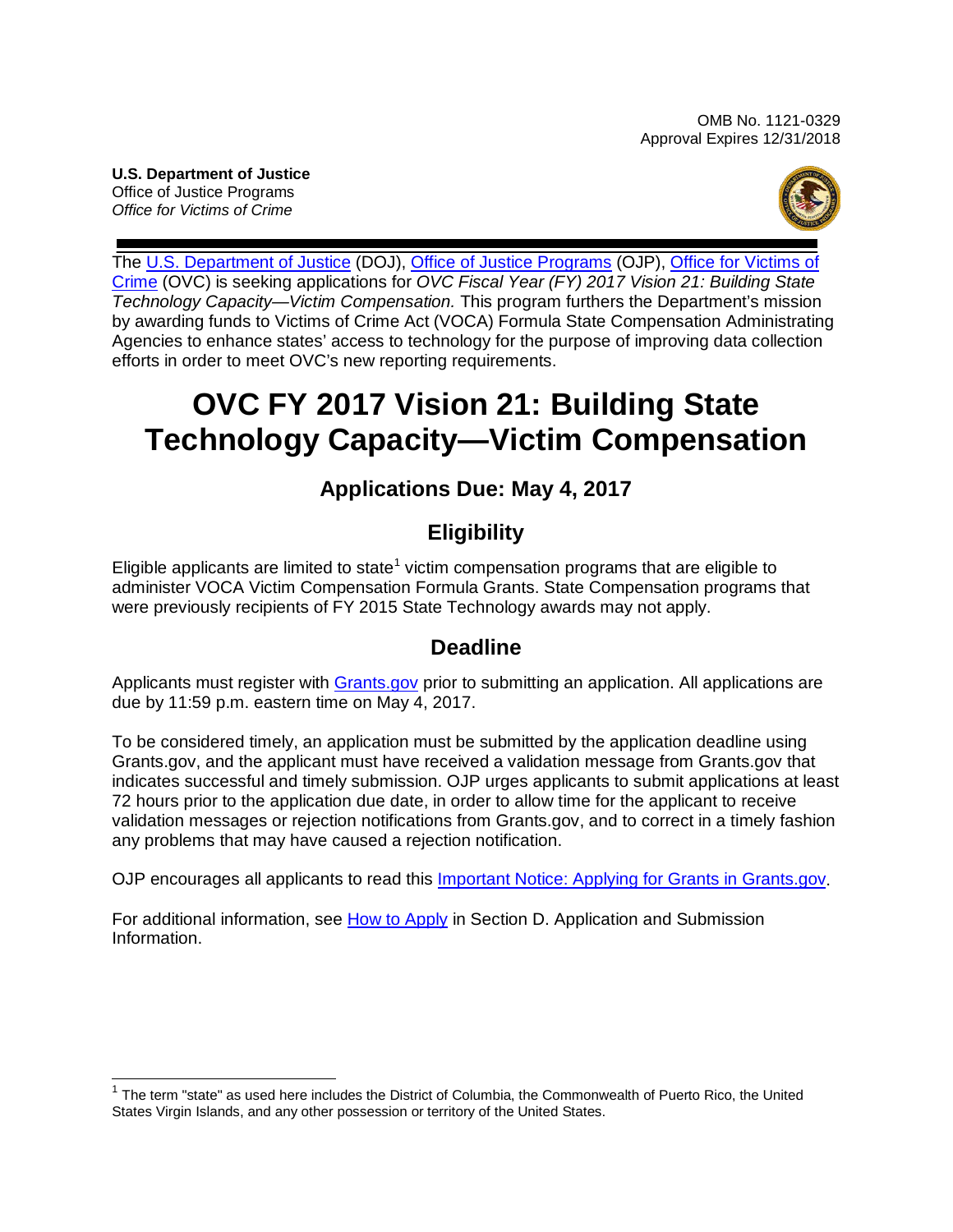**U.S. Department of Justice**  Office of Justice Programs *Office for Victims of Crime* 



 The [U.S. Department of Justice](http://www.usdoj.gov/) (DOJ), [Office of Justice Programs](http://www.ojp.usdoj.gov/) (OJP), [Office for Victims of](http://www.ovc.gov/)  [Crime](http://www.ovc.gov/) (OVC) is seeking applications for *OVC Fiscal Year (FY) 2017 Vision 21: Building State*  efforts in order to meet OVC's new reporting requirements. *Technology Capacity—Victim Compensation.* This program furthers the Department's mission by awarding funds to Victims of Crime Act (VOCA) Formula State Compensation Administrating Agencies to enhance states' access to technology for the purpose of improving data collection

# **OVC FY 2017 Vision 21: Building State Technology Capacity—Victim Compensation**

# **Applications Due: May 4, 2017**

# **Eligibility**

 were previously recipients of FY 2015 State Technology awards may not apply. Eligible applicants are limited to state<sup>[1](#page-0-0)</sup> victim compensation programs that are eligible to administer VOCA Victim Compensation Formula Grants. State Compensation programs that

# **Deadline**

 due by 11:59 p.m. eastern time on May 4, 2017. Applicants must register with [Grants.gov](http://www.grants.gov/web/grants/register.html) prior to submitting an application. All applications are

To be considered timely, an application must be submitted by the application deadline using Grants.gov, and the applicant must have received a validation message from Grants.gov that indicates successful and timely submission. OJP urges applicants to submit applications at least 72 hours prior to the application due date, in order to allow time for the applicant to receive validation messages or rejection notifications from Grants.gov, and to correct in a timely fashion any problems that may have caused a rejection notification.

OJP encourages all applicants to read this [Important Notice: Applying for Grants in Grants.gov.](http://ojp.gov/funding/Apply/Grants-govInfo.htm)

For additional information, see [How to Apply](#page-20-0) in Section D. Application and Submission Information.

<span id="page-0-0"></span> $\overline{a}$  $1$  The term "state" as used here includes the District of Columbia, the Commonwealth of Puerto Rico, the United States Virgin Islands, and any other possession or territory of the United States.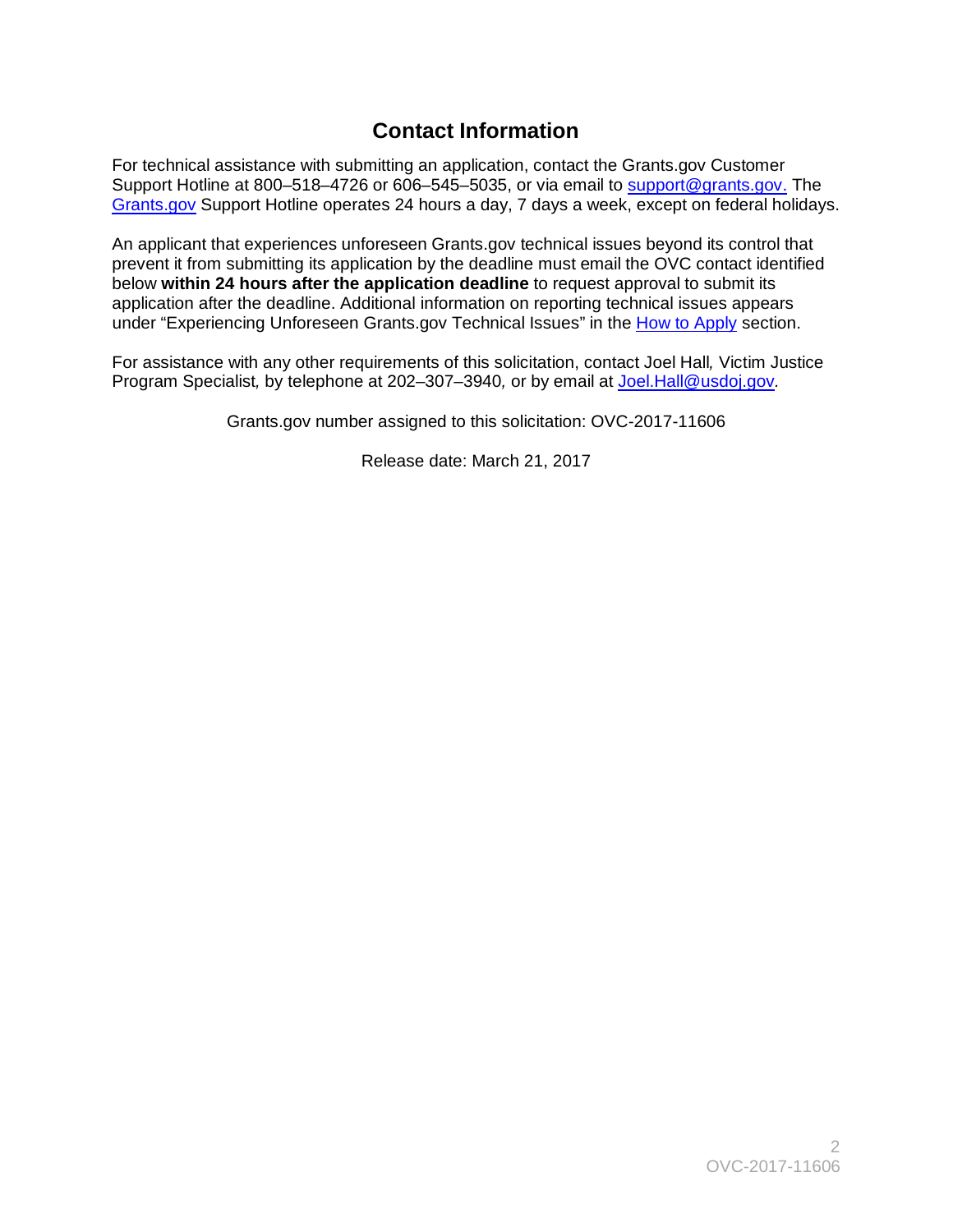# **Contact Information**

 Support Hotline at 800–518–4726 or 606–545–5035, or via email to [support@grants.gov.](mailto:support@grants.gov) The For technical assistance with submitting an application, contact the Grants.gov Customer [Grants.gov](http://www.grants.gov/web/grants/support.html) Support Hotline operates 24 hours a day, 7 days a week, except on federal holidays.

 prevent it from submitting its application by the deadline must email the OVC contact identified application after the deadline. Additional information on reporting technical issues appears under "Experiencing Unforeseen Grants.gov Technical Issues" in the <u>How to Apply</u> section. An applicant that experiences unforeseen Grants.gov technical issues beyond its control that below **within 24 hours after the application deadline** to request approval to submit its

 Program Specialist*,* by telephone at 202–307–3940*,* or by email at [Joel.Hall@usdoj.gov](mailto:Joel.Hall@usdoj.gov)*.*  For assistance with any other requirements of this solicitation, contact Joel Hall*,* Victim Justice

Grants.gov number assigned to this solicitation: OVC-2017-11606

Release date: March 21, 2017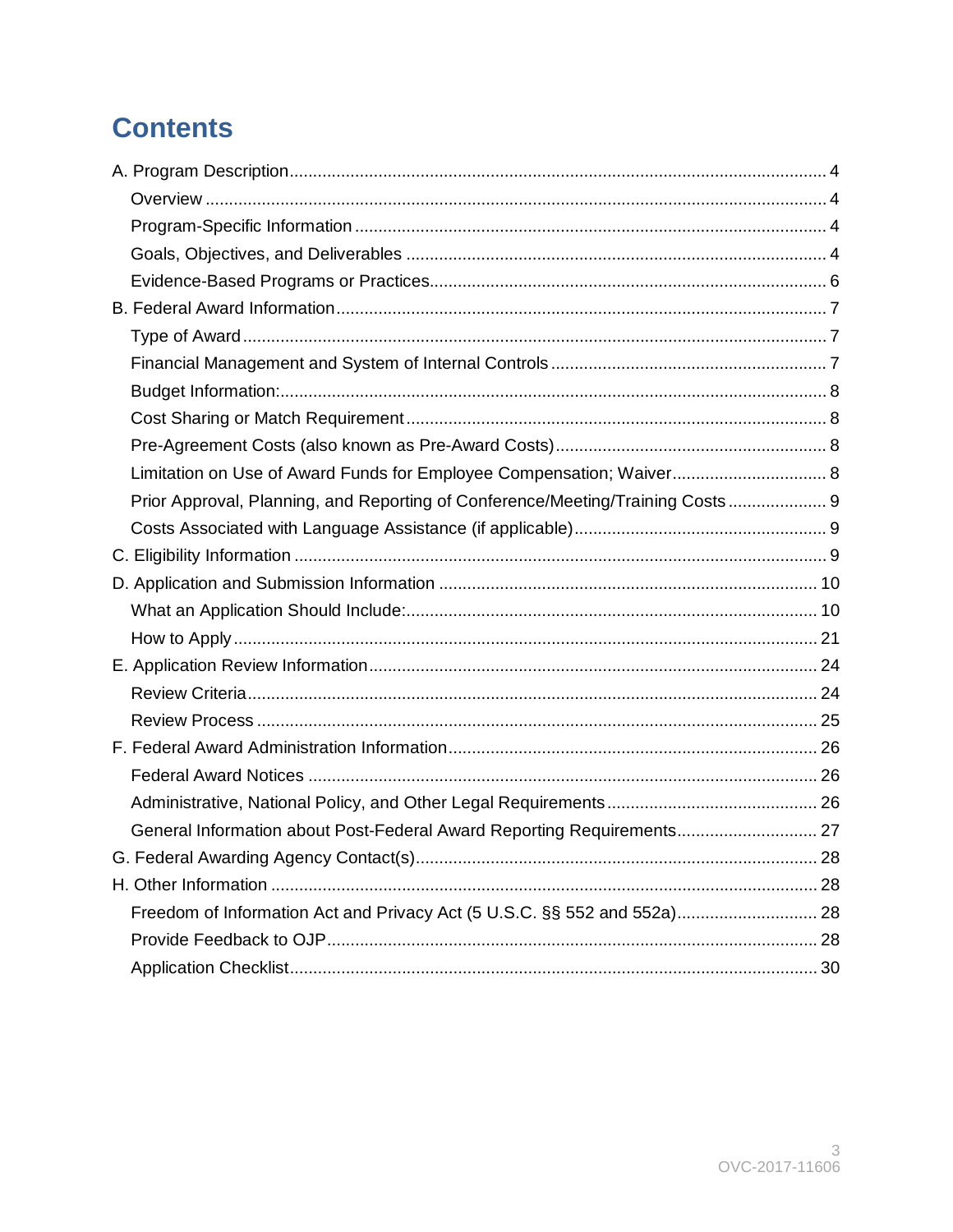# **Contents**

| Limitation on Use of Award Funds for Employee Compensation; Waiver 8           |  |
|--------------------------------------------------------------------------------|--|
| Prior Approval, Planning, and Reporting of Conference/Meeting/Training Costs 9 |  |
|                                                                                |  |
|                                                                                |  |
|                                                                                |  |
|                                                                                |  |
|                                                                                |  |
|                                                                                |  |
|                                                                                |  |
|                                                                                |  |
|                                                                                |  |
|                                                                                |  |
|                                                                                |  |
| General Information about Post-Federal Award Reporting Requirements 27         |  |
|                                                                                |  |
|                                                                                |  |
|                                                                                |  |
|                                                                                |  |
|                                                                                |  |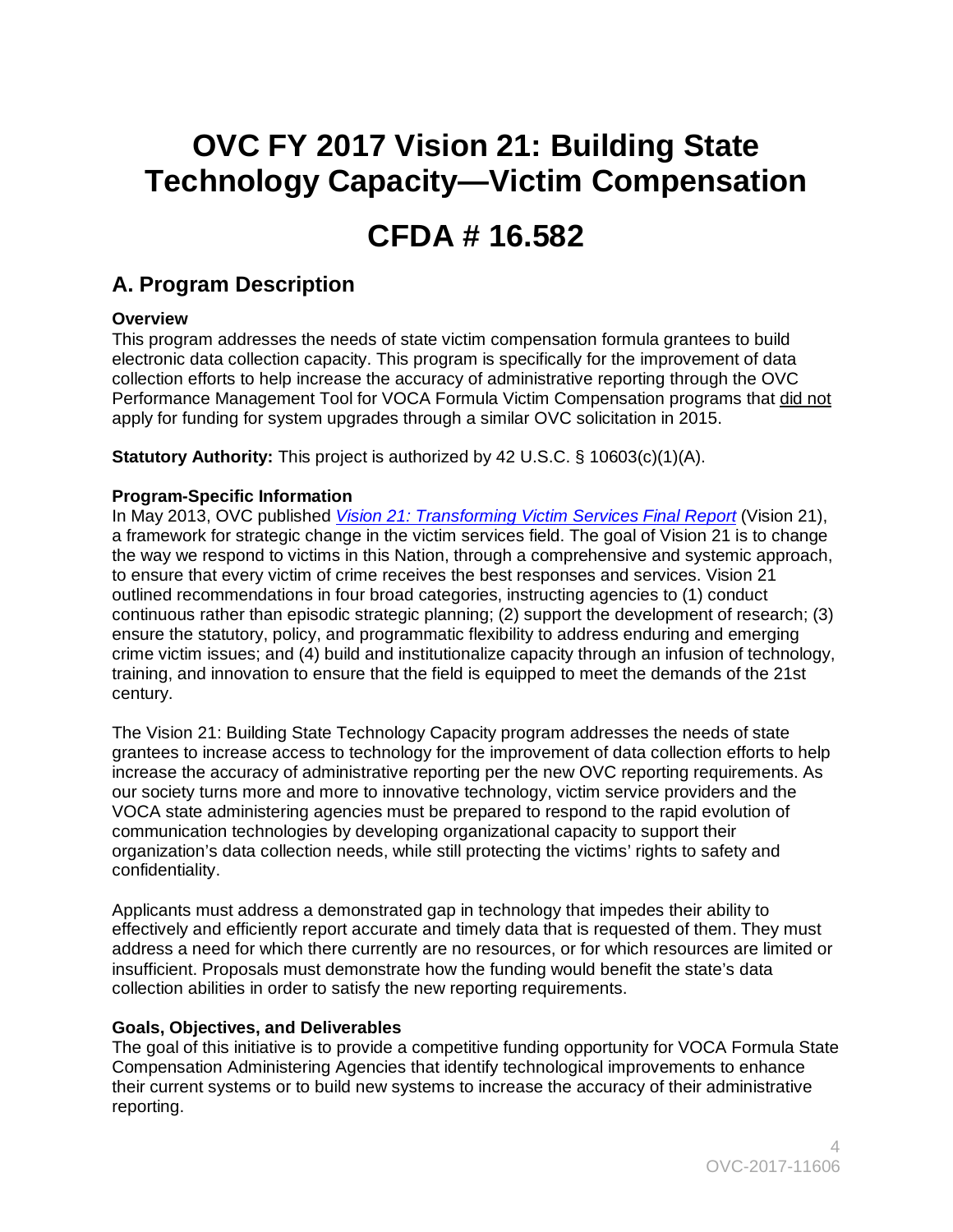# **OVC FY 2017 Vision 21: Building State Technology Capacity—Victim Compensation**

# **CFDA # 16.582**

# <span id="page-3-0"></span> **A. Program Description**

# <span id="page-3-1"></span>**Overview**

 apply for funding for system upgrades through a similar OVC solicitation in 2015. This program addresses the needs of state victim compensation formula grantees to build electronic data collection capacity. This program is specifically for the improvement of data collection efforts to help increase the accuracy of administrative reporting through the OVC Performance Management Tool for VOCA Formula Victim Compensation programs that did not

**Statutory Authority:** This project is authorized by 42 U.S.C. § 10603(c)(1)(A).

# <span id="page-3-2"></span>**Program-Specific Information**

 training, and innovation to ensure that the field is equipped to meet the demands of the 21st In May 2013, OVC published *[Vision 21: Transforming Victim Services Final Report](https://ovc.ncjrs.gov/vision21/pdfs/Vision21_Report.pdf)* (Vision 21), a framework for strategic change in the victim services field. The goal of Vision 21 is to change the way we respond to victims in this Nation, through a comprehensive and systemic approach, to ensure that every victim of crime receives the best responses and services. Vision 21 outlined recommendations in four broad categories, instructing agencies to (1) conduct continuous rather than episodic strategic planning; (2) support the development of research; (3) ensure the statutory, policy, and programmatic flexibility to address enduring and emerging crime victim issues; and (4) build and institutionalize capacity through an infusion of technology, century.

confidentiality. The Vision 21: Building State Technology Capacity program addresses the needs of state grantees to increase access to technology for the improvement of data collection efforts to help increase the accuracy of administrative reporting per the new OVC reporting requirements. As our society turns more and more to innovative technology, victim service providers and the VOCA state administering agencies must be prepared to respond to the rapid evolution of communication technologies by developing organizational capacity to support their organization's data collection needs, while still protecting the victims' rights to safety and

 collection abilities in order to satisfy the new reporting requirements. Applicants must address a demonstrated gap in technology that impedes their ability to effectively and efficiently report accurate and timely data that is requested of them. They must address a need for which there currently are no resources, or for which resources are limited or insufficient. Proposals must demonstrate how the funding would benefit the state's data

# <span id="page-3-3"></span>**Goals, Objectives, and Deliverables**

 The goal of this initiative is to provide a competitive funding opportunity for VOCA Formula State reporting. Compensation Administering Agencies that identify technological improvements to enhance their current systems or to build new systems to increase the accuracy of their administrative reporting.  $4$ <br>OVC-2017-11606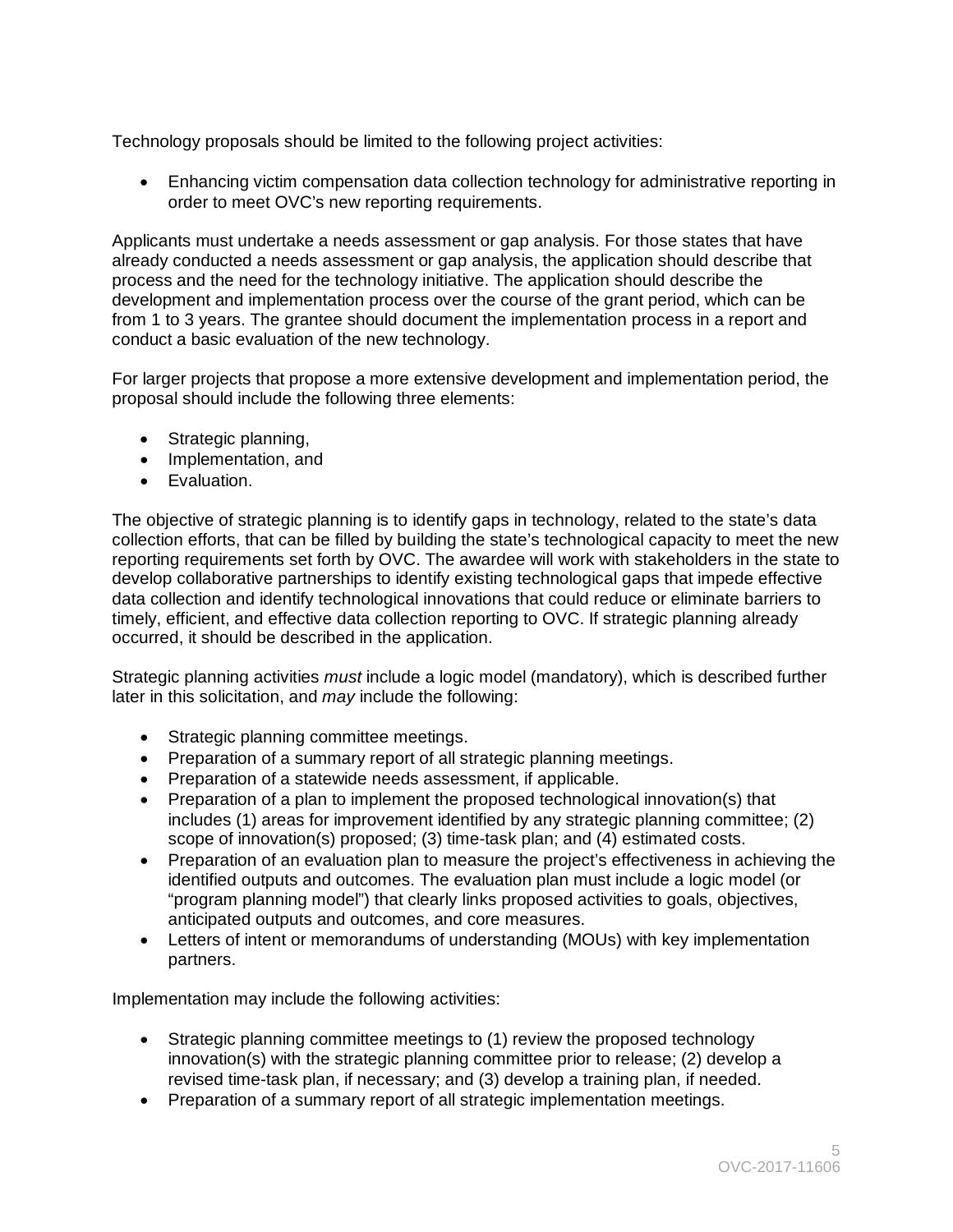Technology proposals should be limited to the following project activities:

• Enhancing victim compensation data collection technology for administrative reporting in order to meet OVC's new reporting requirements.

Applicants must undertake a needs assessment or gap analysis. For those states that have already conducted a needs assessment or gap analysis, the application should describe that process and the need for the technology initiative. The application should describe the development and implementation process over the course of the grant period, which can be from 1 to 3 years. The grantee should document the implementation process in a report and conduct a basic evaluation of the new technology.

For larger projects that propose a more extensive development and implementation period, the proposal should include the following three elements:

- Strategic planning,
- Implementation, and
- • Evaluation.

The objective of strategic planning is to identify gaps in technology, related to the state's data collection efforts, that can be filled by building the state's technological capacity to meet the new reporting requirements set forth by OVC. The awardee will work with stakeholders in the state to develop collaborative partnerships to identify existing technological gaps that impede effective data collection and identify technological innovations that could reduce or eliminate barriers to timely, efficient, and effective data collection reporting to OVC. If strategic planning already occurred, it should be described in the application.

Strategic planning activities *must* include a logic model (mandatory), which is described further later in this solicitation, and *may* include the following:

- Strategic planning committee meetings.
- Preparation of a summary report of all strategic planning meetings.
- Preparation of a statewide needs assessment, if applicable.
- scope of innovation(s) proposed; (3) time-task plan; and (4) estimated costs. • Preparation of a plan to implement the proposed technological innovation(s) that includes (1) areas for improvement identified by any strategic planning committee; (2)
- "program planning model") that clearly links proposed activities to goals, objectives, anticipated outputs and outcomes, and core measures. • Preparation of an evaluation plan to measure the project's effectiveness in achieving the identified outputs and outcomes. The evaluation plan must include a logic model (or
- Letters of intent or memorandums of understanding (MOUs) with key implementation partners.

Implementation may include the following activities:

- revised time-task plan, if necessary; and (3) develop a training plan, if needed. • Strategic planning committee meetings to (1) review the proposed technology innovation(s) with the strategic planning committee prior to release; (2) develop a
- Preparation of a summary report of all strategic implementation meetings.<br>
OVC-2017-11606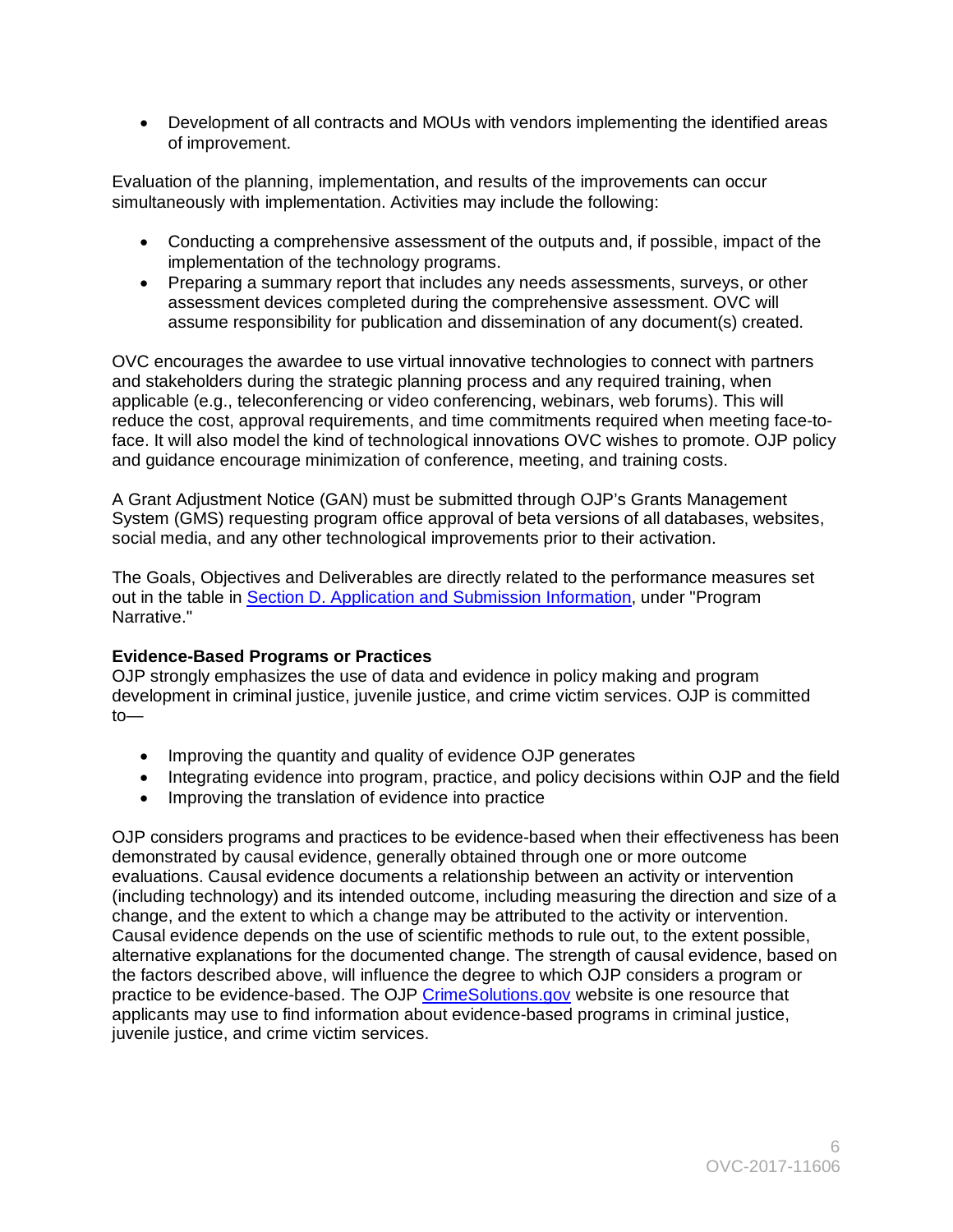• Development of all contracts and MOUs with vendors implementing the identified areas of improvement.

Evaluation of the planning, implementation, and results of the improvements can occur simultaneously with implementation. Activities may include the following:

- Conducting a comprehensive assessment of the outputs and, if possible, impact of the implementation of the technology programs.
- assume responsibility for publication and dissemination of any document(s) created. • Preparing a summary report that includes any needs assessments, surveys, or other assessment devices completed during the comprehensive assessment. OVC will

OVC encourages the awardee to use virtual innovative technologies to connect with partners and stakeholders during the strategic planning process and any required training, when applicable (e.g., teleconferencing or video conferencing, webinars, web forums). This will reduce the cost, approval requirements, and time commitments required when meeting face-toface. It will also model the kind of technological innovations OVC wishes to promote. OJP policy and guidance encourage minimization of conference, meeting, and training costs.

A Grant Adjustment Notice (GAN) must be submitted through OJP's Grants Management System (GMS) requesting program office approval of beta versions of all databases, websites, social media, and any other technological improvements prior to their activation.

 The Goals, Objectives and Deliverables are directly related to the performance measures set out in the table in Section D. Application and Submission Information, under "Program Narrative."

# <span id="page-5-0"></span>**Evidence-Based Programs or Practices**

OJP strongly emphasizes the use of data and evidence in policy making and program development in criminal justice, juvenile justice, and crime victim services. OJP is committed to—

- Improving the quantity and quality of evidence OJP generates
- Integrating evidence into program, practice, and policy decisions within OJP and the field
- Improving the translation of evidence into practice

 OJP considers programs and practices to be evidence-based when their effectiveness has been practice to be evidence-based. The OJP <u>CrimeSolutions.gov</u> website is one resource that demonstrated by causal evidence, generally obtained through one or more outcome evaluations. Causal evidence documents a relationship between an activity or intervention (including technology) and its intended outcome, including measuring the direction and size of a change, and the extent to which a change may be attributed to the activity or intervention. Causal evidence depends on the use of scientific methods to rule out, to the extent possible, alternative explanations for the documented change. The strength of causal evidence, based on the factors described above, will influence the degree to which OJP considers a program or applicants may use to find information about evidence-based programs in criminal justice, juvenile justice, and crime victim services.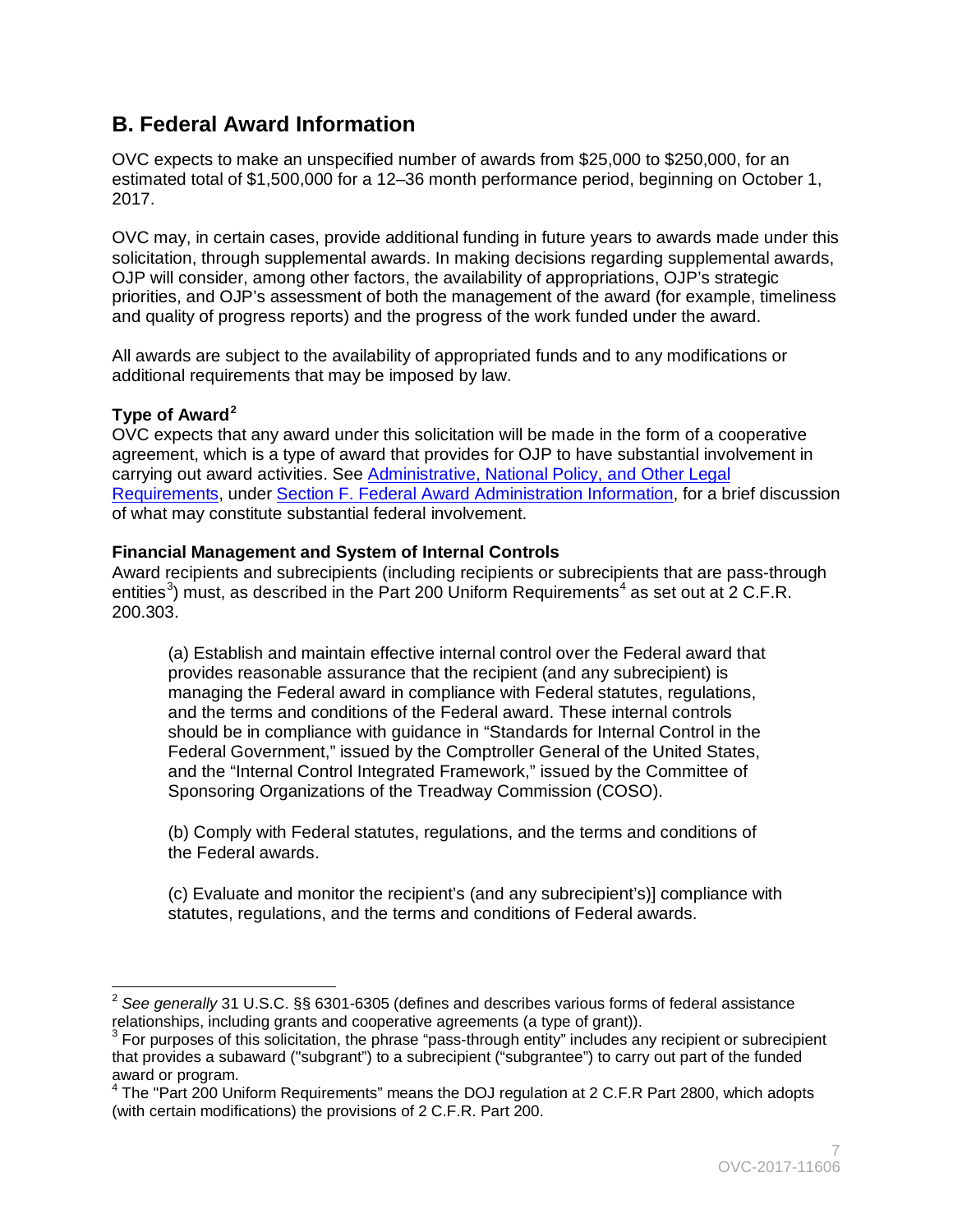# <span id="page-6-0"></span>**B. Federal Award Information**

OVC expects to make an unspecified number of awards from \$25,000 to \$250,000, for an estimated total of \$1,500,000 for a 12–36 month performance period, beginning on October 1, 2017.

OVC may, in certain cases, provide additional funding in future years to awards made under this solicitation, through supplemental awards. In making decisions regarding supplemental awards, OJP will consider, among other factors, the availability of appropriations, OJP's strategic priorities, and OJP's assessment of both the management of the award (for example, timeliness and quality of progress reports) and the progress of the work funded under the award.

All awards are subject to the availability of appropriated funds and to any modifications or additional requirements that may be imposed by law.

# <span id="page-6-1"></span>**Type of Award[2](#page-6-3)**

OVC expects that any award under this solicitation will be made in the form of a cooperative agreement, which is a type of award that provides for OJP to have substantial involvement in carrying out award activities. See [Administrative, National Policy, and Other Legal](#page-25-0)  [Requirements,](#page-25-0) under [Section F. Federal Award Administration Information,](#page-25-0) for a brief discussion of what may constitute substantial federal involvement.

# <span id="page-6-2"></span>**Financial Management and System of Internal Controls**

 Award recipients and subrecipients (including recipients or subrecipients that are pass-through entities<sup>[3](#page-6-4)</sup>) must, as described in the Part 200 Uniform Requirements<sup>[4](#page-6-5)</sup> as set out at 2 C.F.R. 200.303.

(a) Establish and maintain effective internal control over the Federal award that provides reasonable assurance that the recipient (and any subrecipient) is managing the Federal award in compliance with Federal statutes, regulations, and the terms and conditions of the Federal award. These internal controls should be in compliance with guidance in "Standards for Internal Control in the Federal Government," issued by the Comptroller General of the United States, and the "Internal Control Integrated Framework," issued by the Committee of Sponsoring Organizations of the Treadway Commission (COSO).

(b) Comply with Federal statutes, regulations, and the terms and conditions of the Federal awards.

(c) Evaluate and monitor the recipient's (and any subrecipient's)] compliance with statutes, regulations, and the terms and conditions of Federal awards.

<span id="page-6-3"></span> $\overline{a}$ <sup>2</sup>*See generally* 31 U.S.C. §§ 6301-6305 (defines and describes various forms of federal assistance relationships, including grants and cooperative agreements (a type of grant)).<br> $3$  For purposes of this solicitation, the phrase "pass-through entity" includes any recipient or subrecipient

<span id="page-6-4"></span>that provides a subaward ("subgrant") to a subrecipient ("subgrantee") to carry out part of the funded award or program.

<span id="page-6-5"></span><sup>4</sup> The "Part 200 Uniform Requirements" means the DOJ regulation at 2 C.F.R Part 2800, which adopts (with certain modifications) the provisions of 2 C.F.R. Part 200.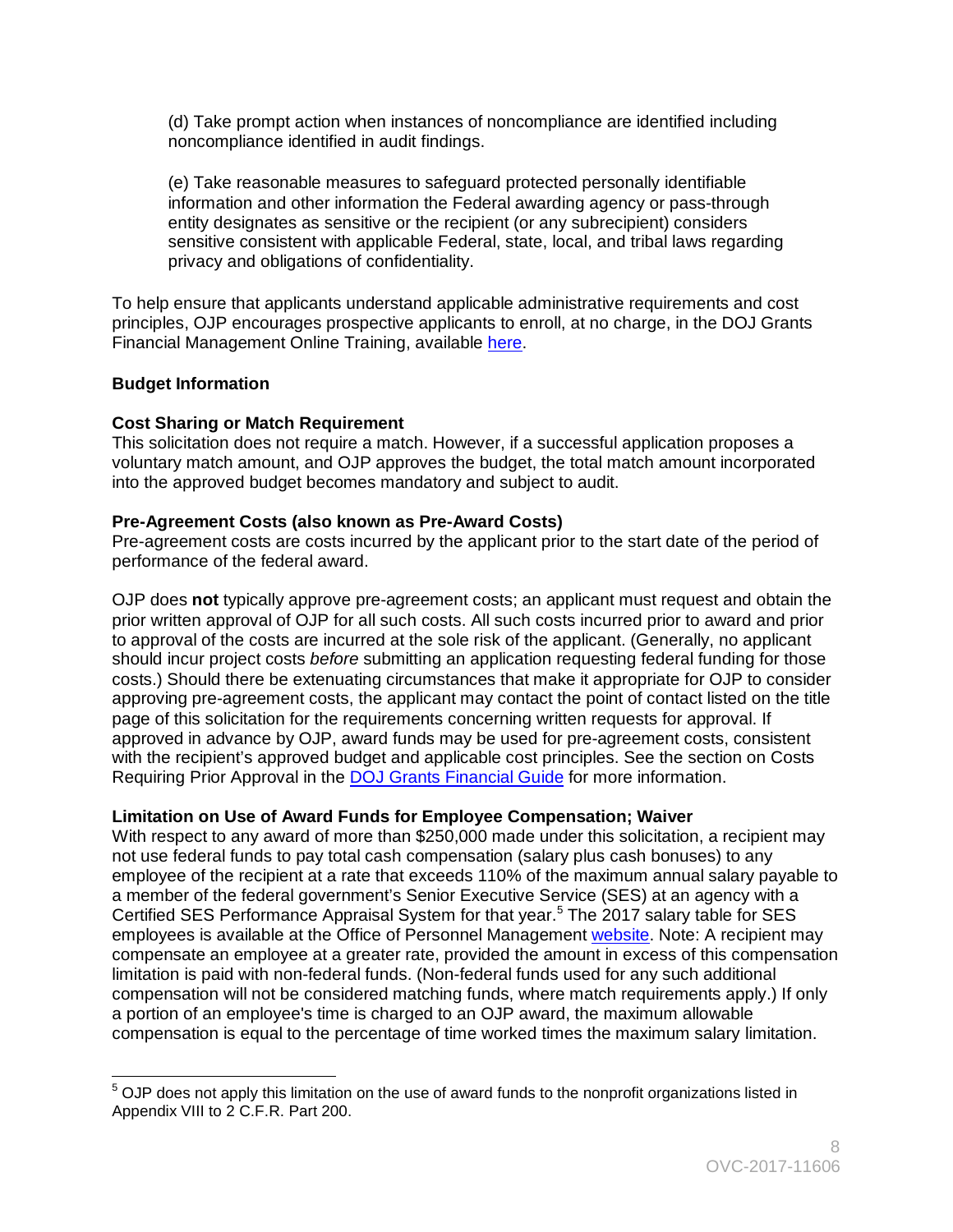(d) Take prompt action when instances of noncompliance are identified including noncompliance identified in audit findings.

 sensitive consistent with applicable Federal, state, local, and tribal laws regarding (e) Take reasonable measures to safeguard protected personally identifiable information and other information the Federal awarding agency or pass-through entity designates as sensitive or the recipient (or any subrecipient) considers privacy and obligations of confidentiality.

To help ensure that applicants understand applicable administrative requirements and cost principles, OJP encourages prospective applicants to enroll, at no charge, in the DOJ Grants Financial Management Online Training, available [here.](http://ojpfgm.webfirst.com/)

# <span id="page-7-0"></span>**Budget Information**

# <span id="page-7-1"></span> **Cost Sharing or Match Requirement**

This solicitation does not require a match. However, if a successful application proposes a voluntary match amount, and OJP approves the budget, the total match amount incorporated into the approved budget becomes mandatory and subject to audit.

# <span id="page-7-2"></span>**Pre-Agreement Costs (also known as Pre-Award Costs)**

performance of the federal award. Pre-agreement costs are costs incurred by the applicant prior to the start date of the period of

OJP does not typically approve pre-agreement costs; an applicant must request and obtain the prior written approval of OJP for all such costs. All such costs incurred prior to award and prior to approval of the costs are incurred at the sole risk of the applicant. (Generally, no applicant should incur project costs *before* submitting an application requesting federal funding for those costs.) Should there be extenuating circumstances that make it appropriate for OJP to consider approving pre-agreement costs, the applicant may contact the point of contact listed on the title page of this solicitation for the requirements concerning written requests for approval. If approved in advance by OJP, award funds may be used for pre-agreement costs, consistent with the recipient's approved budget and applicable cost principles. See the section on Costs Requiring Prior Approval in the [DOJ Grants Financial Guide](http://ojp.gov/financialguide/DOJ/index.htm) for more information.

# <span id="page-7-3"></span>**Limitation on Use of Award Funds for Employee Compensation; Waiver**

Certified SES Performance Appraisal System for that year.<sup>5</sup> The 2017 salary table for SES compensation will not be considered matching funds, where match requirements apply.) If only a portion of an employee's time is charged to an OJP award, the maximum allowable compensation is equal to the percentage of time worked times the maximum salary limitation. With respect to any award of more than \$250,000 made under this solicitation, a recipient may not use federal funds to pay total cash compensation (salary plus cash bonuses) to any employee of the recipient at a rate that exceeds 110% of the maximum annual salary payable to a member of the federal government's Senior Executive Service (SES) at an agency with a employees is available at the Office of Personnel Management [website.](http://www.opm.gov/policy-data-oversight/pay-leave/salaries-wages/salary-tables/17Tables/exec/html/ES.aspx) Note: A recipient may compensate an employee at a greater rate, provided the amount in excess of this compensation limitation is paid with non-federal funds. (Non-federal funds used for any such additional

<span id="page-7-4"></span> $\overline{a}$  $5$  OJP does not apply this limitation on the use of award funds to the nonprofit organizations listed in Appendix VIII to 2 C.F.R. Part 200.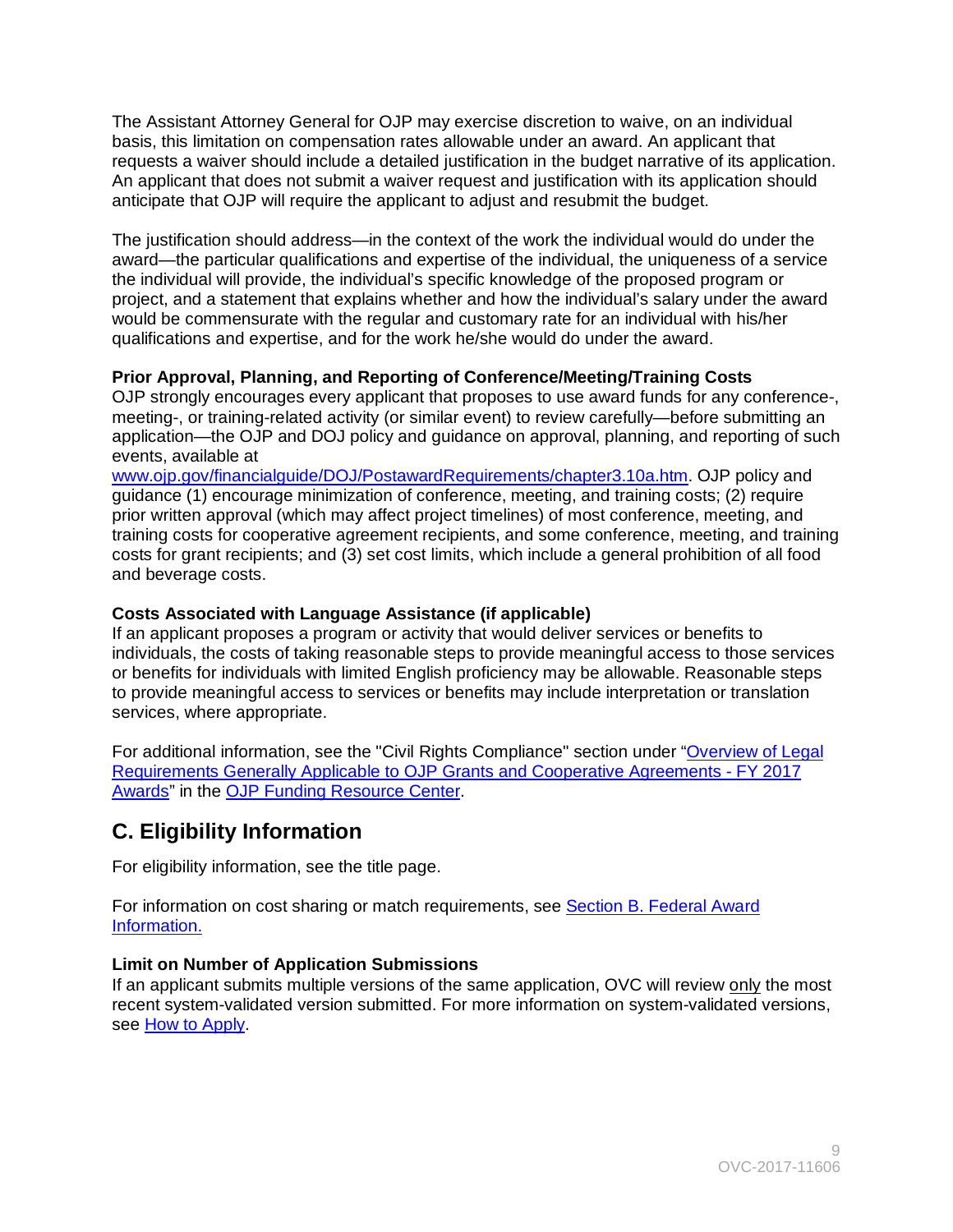The Assistant Attorney General for OJP may exercise discretion to waive, on an individual basis, this limitation on compensation rates allowable under an award. An applicant that requests a waiver should include a detailed justification in the budget narrative of its application. An applicant that does not submit a waiver request and justification with its application should anticipate that OJP will require the applicant to adjust and resubmit the budget.

The justification should address—in the context of the work the individual would do under the award—the particular qualifications and expertise of the individual, the uniqueness of a service the individual will provide, the individual's specific knowledge of the proposed program or project, and a statement that explains whether and how the individual's salary under the award would be commensurate with the regular and customary rate for an individual with his/her qualifications and expertise, and for the work he/she would do under the award.

# <span id="page-8-0"></span>**Prior Approval, Planning, and Reporting of Conference/Meeting/Training Costs**

 application—the OJP and DOJ policy and guidance on approval, planning, and reporting of such OJP strongly encourages every applicant that proposes to use award funds for any conference-, meeting-, or training-related activity (or similar event) to review carefully—before submitting an events, available at

 costs for grant recipients; and (3) set cost limits, which include a general prohibition of all food [www.ojp.gov/financialguide/DOJ/PostawardRequirements/chapter3.10a.htm.](http://www.ojp.gov/financialguide/DOJ/PostawardRequirements/chapter3.10a.htm) OJP policy and guidance (1) encourage minimization of conference, meeting, and training costs; (2) require prior written approval (which may affect project timelines) of most conference, meeting, and training costs for cooperative agreement recipients, and some conference, meeting, and training and beverage costs.

# <span id="page-8-1"></span>**Costs Associated with Language Assistance (if applicable)**

If an applicant proposes a program or activity that would deliver services or benefits to individuals, the costs of taking reasonable steps to provide meaningful access to those services or benefits for individuals with limited English proficiency may be allowable. Reasonable steps to provide meaningful access to services or benefits may include interpretation or translation services, where appropriate.

[Awards"](http://ojp.gov/funding/Explore/SolicitationRequirements/index.htm) in the [OJP Funding Resource Center.](http://ojp.gov/funding/index.htm) For additional information, see the "Civil Rights Compliance" section under ["Overview of Legal](http://ojp.gov/funding/Explore/SolicitationRequirements/index.htm)  [Requirements Generally Applicable to OJP Grants and Cooperative Agreements -](http://ojp.gov/funding/Explore/SolicitationRequirements/index.htm) FY 2017

# <span id="page-8-2"></span> **C. Eligibility Information**

For eligibility information, see the title page.

For information on cost sharing or match requirements, see Section B. Federal Award [Information.](#page-6-0) 

# **Limit on Number of Application Submissions**

If an applicant submits multiple versions of the same application, OVC will review only the most recent system-validated version submitted. For more information on system-validated versions, see [How to Apply.](#page-20-0)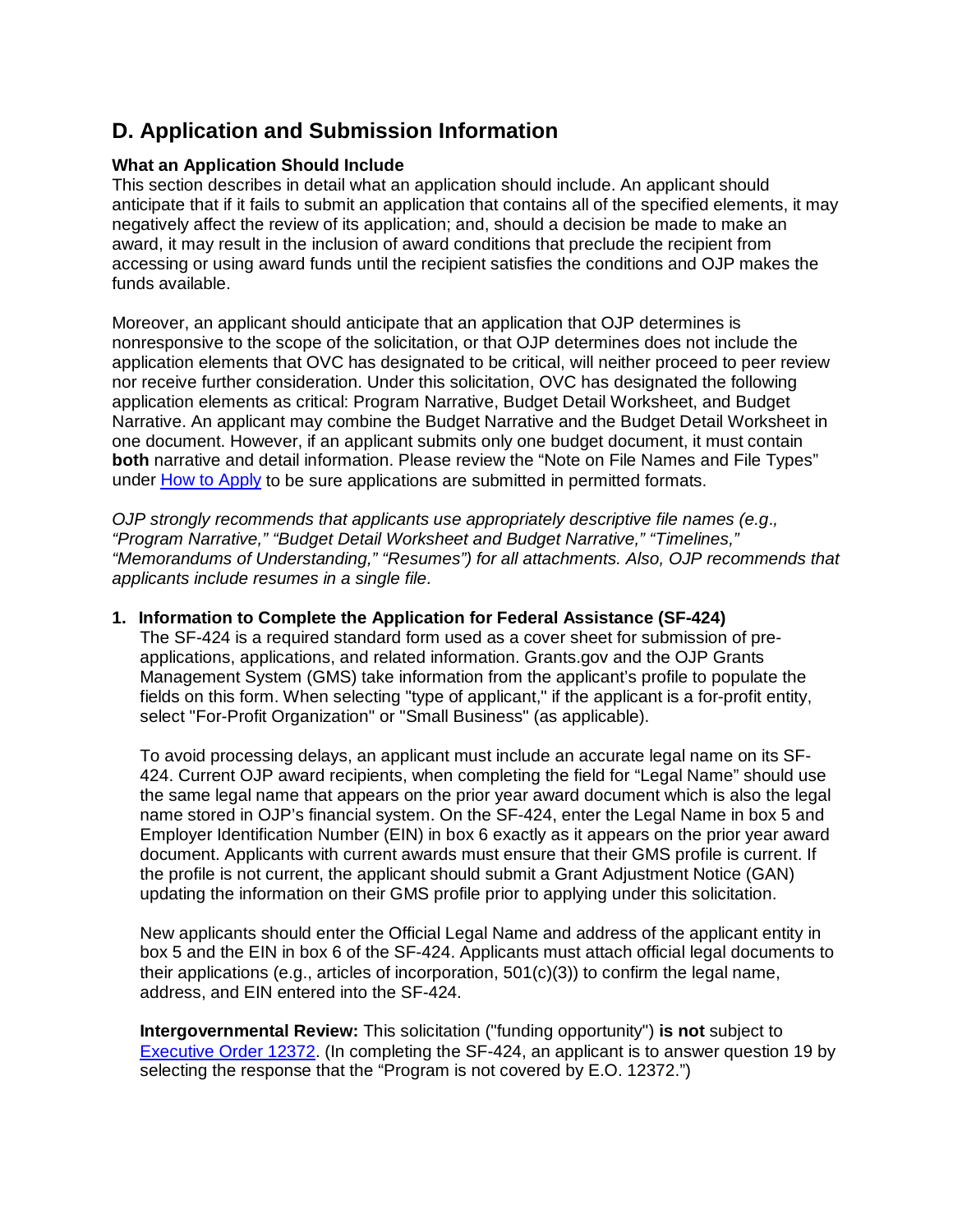# **D. Application and Submission Information**

### <span id="page-9-0"></span>**What an Application Should Include**

 anticipate that if it fails to submit an application that contains all of the specified elements, it may This section describes in detail what an application should include. An applicant should negatively affect the review of its application; and, should a decision be made to make an award, it may result in the inclusion of award conditions that preclude the recipient from accessing or using award funds until the recipient satisfies the conditions and OJP makes the funds available.

Moreover, an applicant should anticipate that an application that OJP determines is nonresponsive to the scope of the solicitation, or that OJP determines does not include the application elements that OVC has designated to be critical, will neither proceed to peer review nor receive further consideration. Under this solicitation, OVC has designated the following application elements as critical: Program Narrative, Budget Detail Worksheet, and Budget Narrative. An applicant may combine the Budget Narrative and the Budget Detail Worksheet in one document. However, if an applicant submits only one budget document, it must contain **both** narrative and detail information. Please review the "Note on File Names and File Types" under [How to Apply](#page-20-0) to be sure applications are submitted in permitted formats.

*OJP strongly recommends that applicants use appropriately descriptive file names (e.g*.*, "Program Narrative," "Budget Detail Worksheet and Budget Narrative," "Timelines," "Memorandums of Understanding," "Resumes") for all attachments. Also, OJP recommends that applicants include resumes in a single file.* 

#### **1. Information to Complete the Application for Federal Assistance (SF-424)**

 Management System (GMS) take information from the applicant's profile to populate the The SF-424 is a required standard form used as a cover sheet for submission of preapplications, applications, and related information. Grants.gov and the OJP Grants fields on this form. When selecting "type of applicant," if the applicant is a for-profit entity, select "For-Profit Organization" or "Small Business" (as applicable).

 document. Applicants with current awards must ensure that their GMS profile is current. If the profile is not current, the applicant should submit a Grant Adjustment Notice (GAN) To avoid processing delays, an applicant must include an accurate legal name on its SF-424. Current OJP award recipients, when completing the field for "Legal Name" should use the same legal name that appears on the prior year award document which is also the legal name stored in OJP's financial system. On the SF-424, enter the Legal Name in box 5 and Employer Identification Number (EIN) in box 6 exactly as it appears on the prior year award updating the information on their GMS profile prior to applying under this solicitation.

 address, and EIN entered into the SF-424. New applicants should enter the Official Legal Name and address of the applicant entity in box 5 and the EIN in box 6 of the SF-424. Applicants must attach official legal documents to their applications (e.g., articles of incorporation,  $501(c)(3)$ ) to confirm the legal name,

**Intergovernmental Review:** This solicitation ("funding opportunity") **is not** subject to [Executive Order 12372.](http://www.archives.gov/federal-register/codification/executive-order/12372.html) (In completing the SF-424, an applicant is to answer question 19 by selecting the response that the "Program is not covered by E.O. 12372.")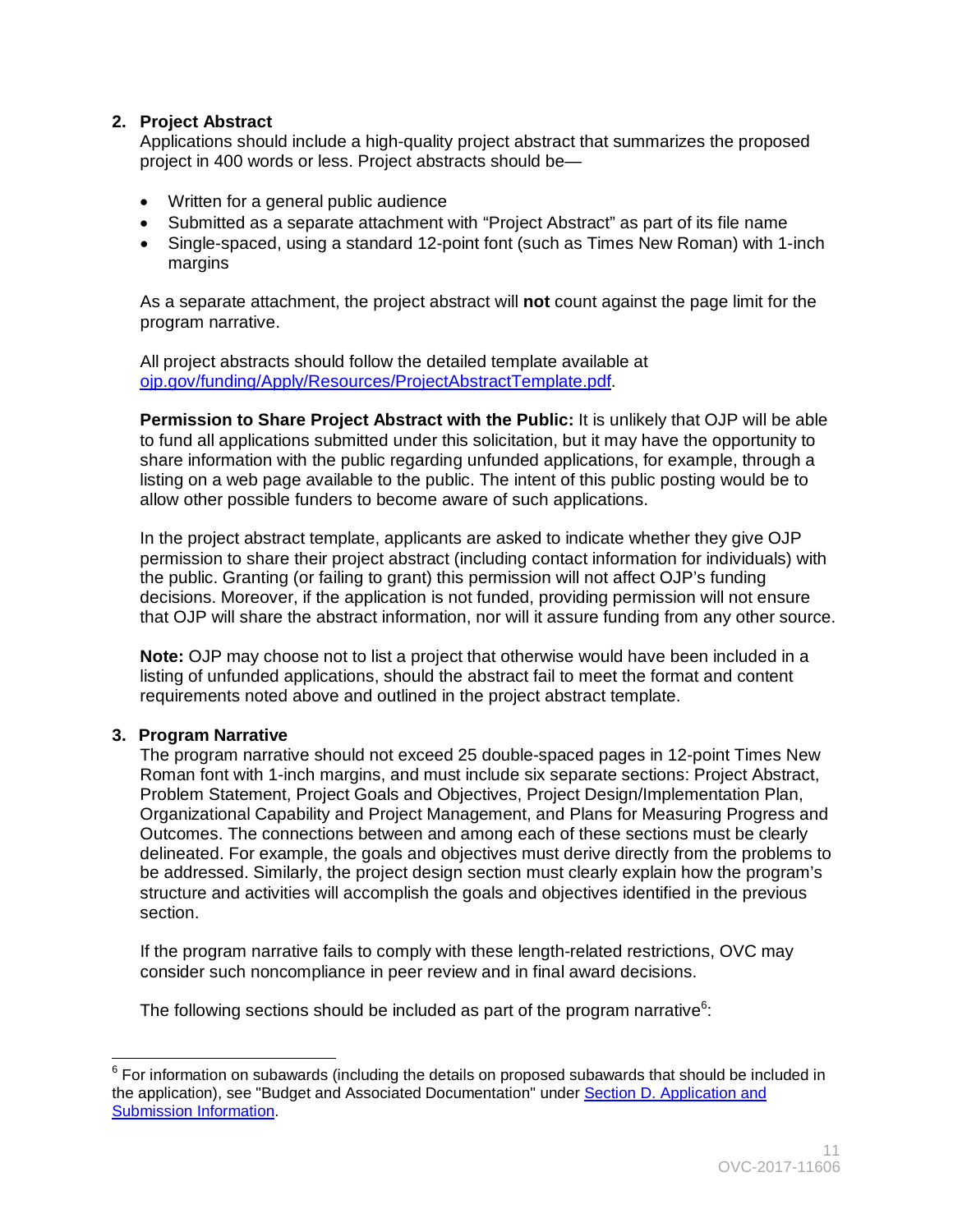# **2. Project Abstract**

Applications should include a high-quality project abstract that summarizes the proposed project in 400 words or less. Project abstracts should be—

- Written for a general public audience
- Submitted as a separate attachment with "Project Abstract" as part of its file name
- Single-spaced, using a standard 12-point font (such as Times New Roman) with 1-inch margins

As a separate attachment, the project abstract will **not** count against the page limit for the program narrative.

All project abstracts should follow the detailed template available at [ojp.gov/funding/Apply/Resources/ProjectAbstractTemplate.pdf.](http://ojp.gov/funding/Apply/Resources/ProjectAbstractTemplate.pdf)

 **Permission to Share Project Abstract with the Public:** It is unlikely that OJP will be able to fund all applications submitted under this solicitation, but it may have the opportunity to share information with the public regarding unfunded applications, for example, through a listing on a web page available to the public. The intent of this public posting would be to allow other possible funders to become aware of such applications.

 In the project abstract template, applicants are asked to indicate whether they give OJP that OJP will share the abstract information, nor will it assure funding from any other source. permission to share their project abstract (including contact information for individuals) with the public. Granting (or failing to grant) this permission will not affect OJP's funding decisions. Moreover, if the application is not funded, providing permission will not ensure

**Note:** OJP may choose not to list a project that otherwise would have been included in a listing of unfunded applications, should the abstract fail to meet the format and content requirements noted above and outlined in the project abstract template.

# **3. Program Narrative**

section. The program narrative should not exceed 25 double-spaced pages in 12-point Times New Roman font with 1-inch margins, and must include six separate sections: Project Abstract, Problem Statement, Project Goals and Objectives, Project Design/Implementation Plan, Organizational Capability and Project Management, and Plans for Measuring Progress and Outcomes. The connections between and among each of these sections must be clearly delineated. For example, the goals and objectives must derive directly from the problems to be addressed. Similarly, the project design section must clearly explain how the program's structure and activities will accomplish the goals and objectives identified in the previous

If the program narrative fails to comply with these length-related restrictions, OVC may consider such noncompliance in peer review and in final award decisions.

The following sections should be included as part of the program narrative $6$ :

<span id="page-10-0"></span> $\overline{a}$  $^6$  For information on subawards (including the details on proposed subawards that should be included in the application), see "Budget and Associated Documentation" under Section D. Application and Submission Information.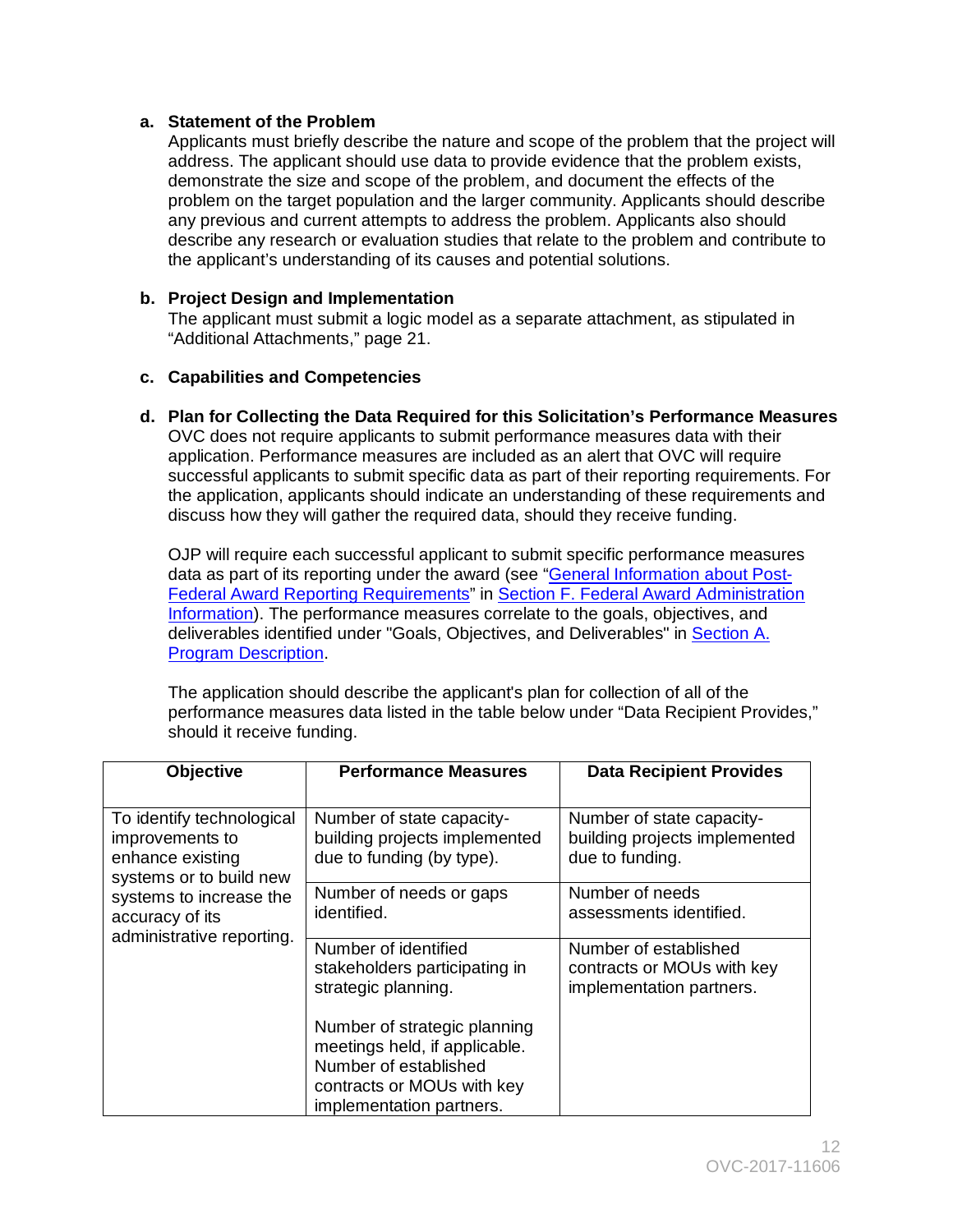### **a. Statement of the Problem**

 the applicant's understanding of its causes and potential solutions. Applicants must briefly describe the nature and scope of the problem that the project will address. The applicant should use data to provide evidence that the problem exists, demonstrate the size and scope of the problem, and document the effects of the problem on the target population and the larger community. Applicants should describe any previous and current attempts to address the problem. Applicants also should describe any research or evaluation studies that relate to the problem and contribute to

# **b. Project Design and Implementation**

The applicant must submit a logic model as a separate attachment, as stipulated in "Additional Attachments," page 21.

#### **c. Capabilities and Competencies**

**d. Plan for Collecting the Data Required for this Solicitation's Performance Measures**  OVC does not require applicants to submit performance measures data with their application. Performance measures are included as an alert that OVC will require successful applicants to submit specific data as part of their reporting requirements. For the application, applicants should indicate an understanding of these requirements and discuss how they will gather the required data, should they receive funding.

OJP will require each successful applicant to submit specific performance measures data as part of its reporting under the award (see ["General Information about Post-](#page-26-0)[Federal Award Reporting Requirements"](#page-26-0) in [Section F. Federal Award Administration](#page-25-0)  [Information\)](#page-25-0). The performance measures correlate to the goals, objectives, and deliverables identified under "Goals, Objectives, and Deliverables" in Section A. [Program Description.](#page-3-0)

The application should describe the applicant's plan for collection of all of the performance measures data listed in the table below under "Data Recipient Provides," should it receive funding.

| <b>Objective</b>                                                                            | <b>Performance Measures</b>                                                             | <b>Data Recipient Provides</b>                                                  |
|---------------------------------------------------------------------------------------------|-----------------------------------------------------------------------------------------|---------------------------------------------------------------------------------|
| To identify technological<br>improvements to<br>enhance existing<br>systems or to build new | Number of state capacity-<br>building projects implemented<br>due to funding (by type). | Number of state capacity-<br>building projects implemented<br>due to funding.   |
| systems to increase the<br>accuracy of its                                                  | Number of needs or gaps<br>identified.                                                  | Number of needs<br>assessments identified.                                      |
| administrative reporting.                                                                   | Number of identified<br>stakeholders participating in<br>strategic planning.            | Number of established<br>contracts or MOUs with key<br>implementation partners. |
|                                                                                             | Number of strategic planning<br>meetings held, if applicable.                           |                                                                                 |
|                                                                                             | Number of established<br>contracts or MOUs with key<br>implementation partners.         |                                                                                 |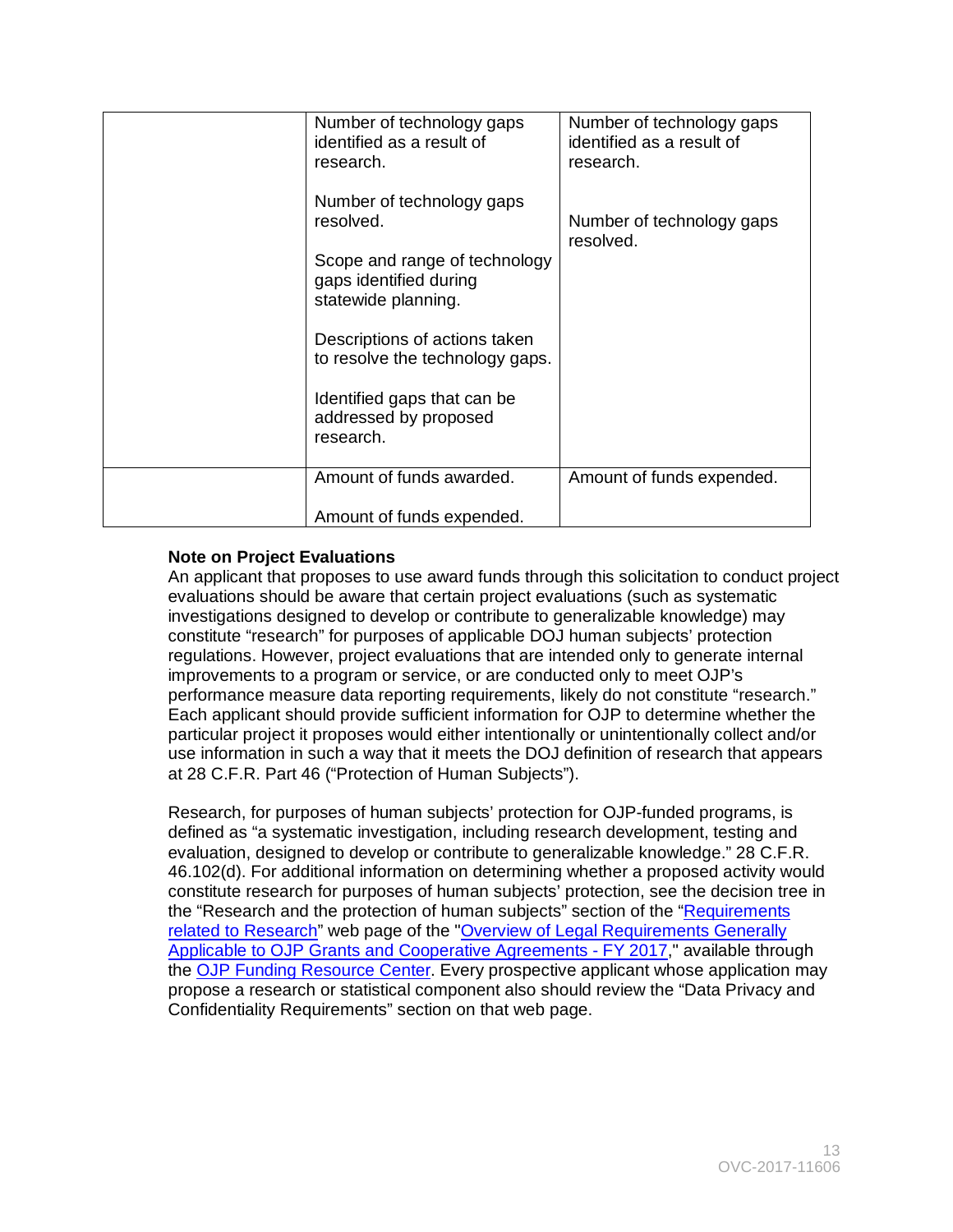| Number of technology gaps<br>identified as a result of<br>research.            | Number of technology gaps<br>identified as a result of<br>research. |
|--------------------------------------------------------------------------------|---------------------------------------------------------------------|
| Number of technology gaps<br>resolved.                                         | Number of technology gaps<br>resolved.                              |
| Scope and range of technology<br>gaps identified during<br>statewide planning. |                                                                     |
| Descriptions of actions taken<br>to resolve the technology gaps.               |                                                                     |
| Identified gaps that can be<br>addressed by proposed<br>research.              |                                                                     |
| Amount of funds awarded.                                                       | Amount of funds expended.                                           |
| Amount of funds expended.                                                      |                                                                     |

# **Note on Project Evaluations**

An applicant that proposes to use award funds through this solicitation to conduct project evaluations should be aware that certain project evaluations (such as systematic investigations designed to develop or contribute to generalizable knowledge) may constitute "research" for purposes of applicable DOJ human subjects' protection regulations. However, project evaluations that are intended only to generate internal improvements to a program or service, or are conducted only to meet OJP's performance measure data reporting requirements, likely do not constitute "research." Each applicant should provide sufficient information for OJP to determine whether the particular project it proposes would either intentionally or unintentionally collect and/or use information in such a way that it meets the DOJ definition of research that appears at 28 C.F.R. Part 46 ("Protection of Human Subjects").

 constitute research for purposes of human subjects' protection, see the decision tree in the "Research and the protection of human subjects" section of the "<u>Requirements</u> Research, for purposes of human subjects' protection for OJP-funded programs, is defined as "a systematic investigation, including research development, testing and evaluation, designed to develop or contribute to generalizable knowledge." 28 C.F.R. 46.102(d). For additional information on determining whether a proposed activity would [related to Research"](http://ojp.gov/funding/Explore/SolicitationRequirements/EvidenceResearchEvaluationRequirements.htm) web page of the "Overview of Legal Requirements Generally [Applicable to OJP Grants and Cooperative Agreements -](http://ojp.gov/funding/Explore/SolicitationRequirements/index.htm) FY 2017," available through the [OJP Funding Resource Center.](http://ojp.gov/funding/index.htm) Every prospective applicant whose application may propose a research or statistical component also should review the "Data Privacy and Confidentiality Requirements" section on that web page.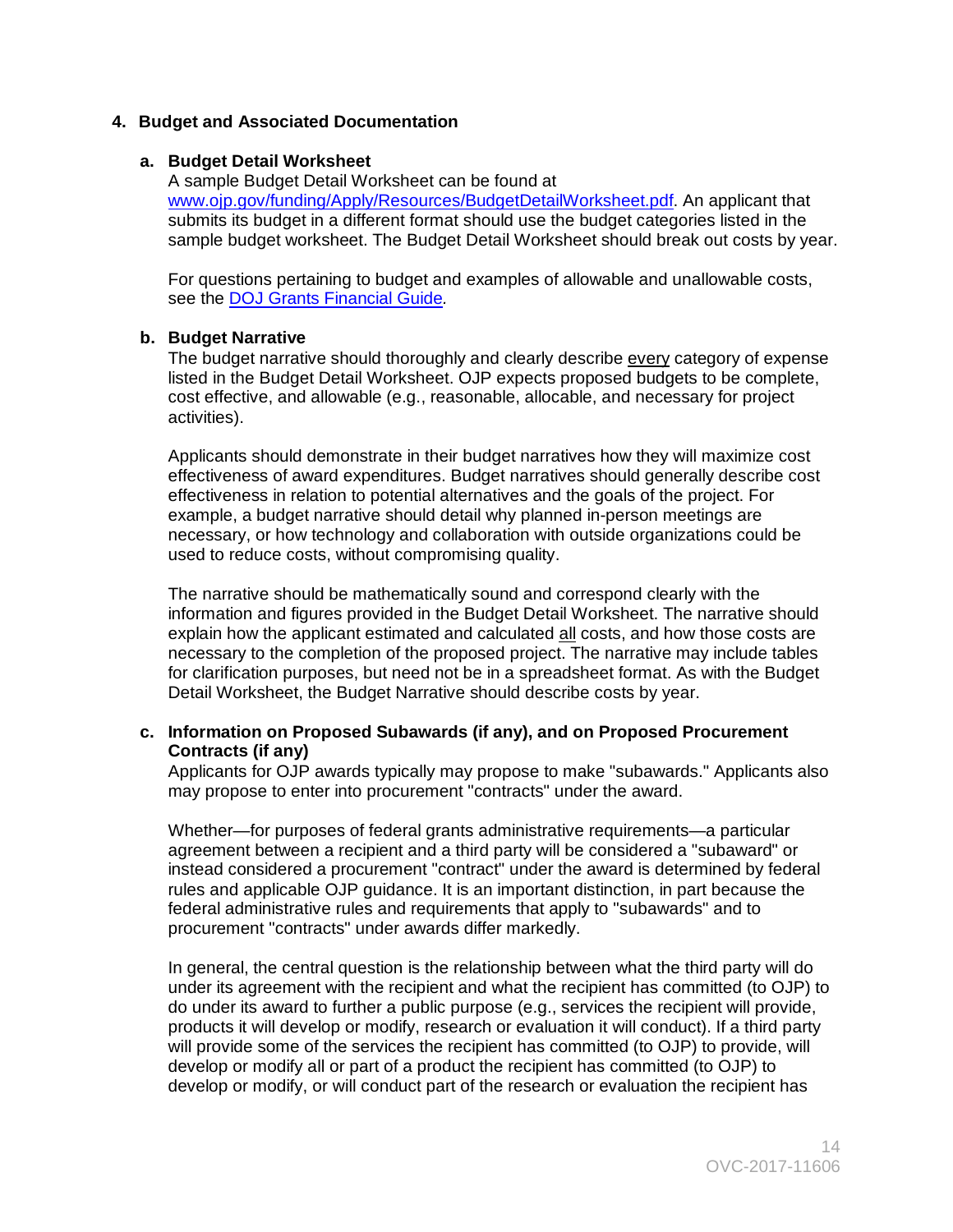# **4. Budget and Associated Documentation**

#### **a. Budget Detail Worksheet**

 submits its budget in a different format should use the budget categories listed in the A sample Budget Detail Worksheet can be found at [www.ojp.gov/funding/Apply/Resources/BudgetDetailWorksheet.pdf.](http://ojp.gov/funding/Apply/Resources/BudgetDetailWorksheet.pdf) An applicant that sample budget worksheet. The Budget Detail Worksheet should break out costs by year.

For questions pertaining to budget and examples of allowable and unallowable costs, see the [DOJ Grants Financial Guide](http://ojp.gov/financialguide/DOJ/index.htm)*.* 

#### **b. Budget Narrative**

activities). The budget narrative should thoroughly and clearly describe every category of expense listed in the Budget Detail Worksheet. OJP expects proposed budgets to be complete, cost effective, and allowable (e.g., reasonable, allocable, and necessary for project

activities).<br>Applicants should demonstrate in their budget narratives how they will maximize cost effectiveness of award expenditures. Budget narratives should generally describe cost effectiveness in relation to potential alternatives and the goals of the project. For example, a budget narrative should detail why planned in-person meetings are necessary, or how technology and collaboration with outside organizations could be used to reduce costs, without compromising quality.

The narrative should be mathematically sound and correspond clearly with the information and figures provided in the Budget Detail Worksheet. The narrative should explain how the applicant estimated and calculated all costs, and how those costs are necessary to the completion of the proposed project. The narrative may include tables for clarification purposes, but need not be in a spreadsheet format. As with the Budget Detail Worksheet, the Budget Narrative should describe costs by year.

#### **c. Information on Proposed Subawards (if any), and on Proposed Procurement Contracts (if any)**

Applicants for OJP awards typically may propose to make "subawards." Applicants also may propose to enter into procurement "contracts" under the award.

Whether—for purposes of federal grants administrative requirements—a particular agreement between a recipient and a third party will be considered a "subaward" or instead considered a procurement "contract" under the award is determined by federal rules and applicable OJP guidance. It is an important distinction, in part because the federal administrative rules and requirements that apply to "subawards" and to procurement "contracts" under awards differ markedly.

In general, the central question is the relationship between what the third party will do under its agreement with the recipient and what the recipient has committed (to OJP) to do under its award to further a public purpose (e.g., services the recipient will provide, products it will develop or modify, research or evaluation it will conduct). If a third party will provide some of the services the recipient has committed (to OJP) to provide, will develop or modify all or part of a product the recipient has committed (to OJP) to develop or modify, or will conduct part of the research or evaluation the recipient has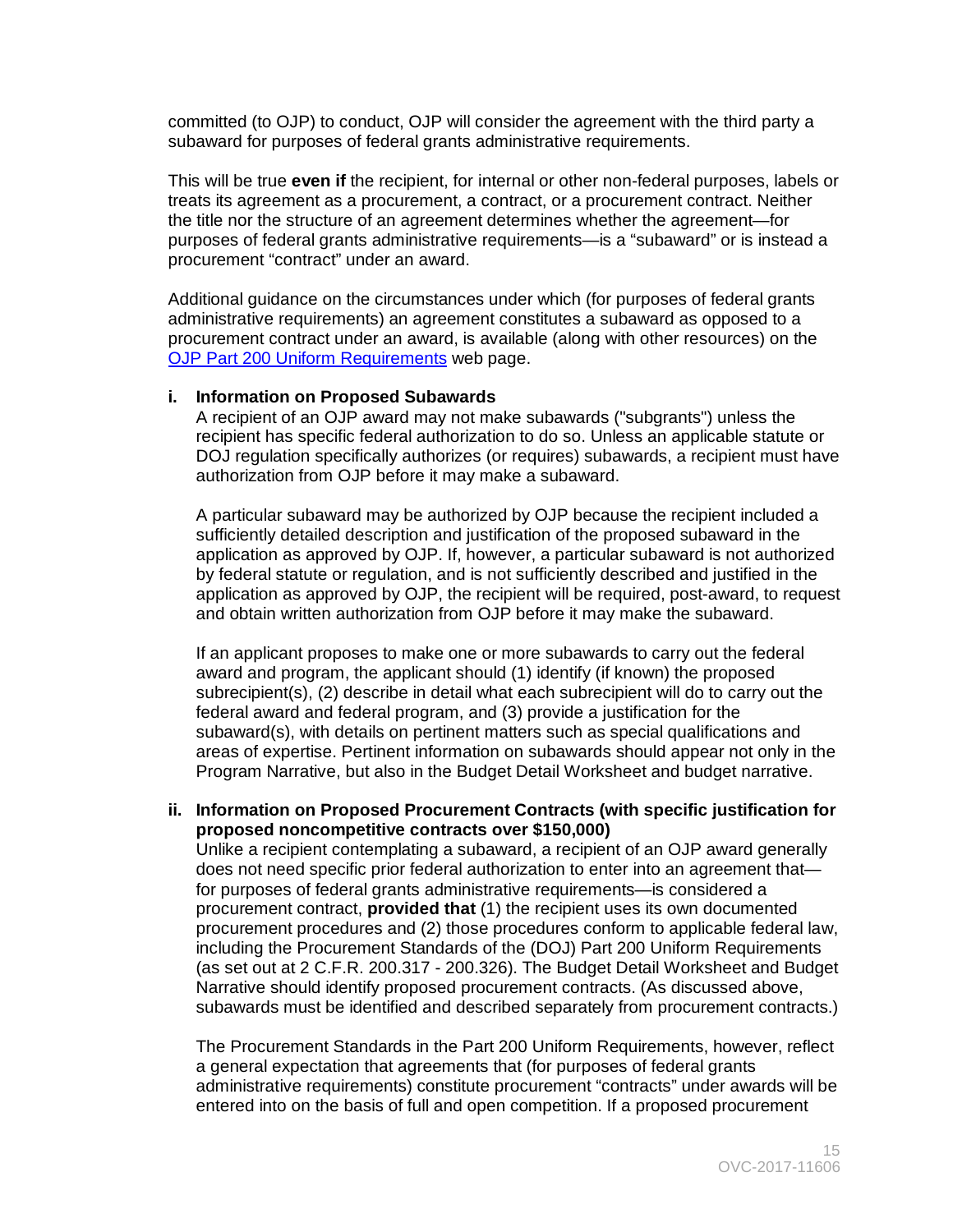committed (to OJP) to conduct, OJP will consider the agreement with the third party a subaward for purposes of federal grants administrative requirements.

This will be true **even if** the recipient, for internal or other non-federal purposes, labels or treats its agreement as a procurement, a contract, or a procurement contract. Neither the title nor the structure of an agreement determines whether the agreement—for purposes of federal grants administrative requirements—is a "subaward" or is instead a procurement "contract" under an award.

[OJP Part 200 Uniform Requirements](http://ojp.gov/funding/Part200UniformRequirements.htm) web page. Additional guidance on the circumstances under which (for purposes of federal grants administrative requirements) an agreement constitutes a subaward as opposed to a procurement contract under an award, is available (along with other resources) on the

#### **i. Information on Proposed Subawards**

A recipient of an OJP award may not make subawards ("subgrants") unless the recipient has specific federal authorization to do so. Unless an applicable statute or DOJ regulation specifically authorizes (or requires) subawards, a recipient must have authorization from OJP before it may make a subaward.

A particular subaward may be authorized by OJP because the recipient included a sufficiently detailed description and justification of the proposed subaward in the application as approved by OJP. If, however, a particular subaward is not authorized by federal statute or regulation, and is not sufficiently described and justified in the application as approved by OJP, the recipient will be required, post-award, to request and obtain written authorization from OJP before it may make the subaward.

If an applicant proposes to make one or more subawards to carry out the federal award and program, the applicant should (1) identify (if known) the proposed subrecipient(s), (2) describe in detail what each subrecipient will do to carry out the federal award and federal program, and (3) provide a justification for the subaward(s), with details on pertinent matters such as special qualifications and areas of expertise. Pertinent information on subawards should appear not only in the Program Narrative, but also in the Budget Detail Worksheet and budget narrative.

#### **ii. Information on Proposed Procurement Contracts (with specific justification for proposed noncompetitive contracts over \$150,000)**

 procurement contract, **provided that** (1) the recipient uses its own documented procurement procedures and (2) those procedures conform to applicable federal law, Unlike a recipient contemplating a subaward, a recipient of an OJP award generally does not need specific prior federal authorization to enter into an agreement that for purposes of federal grants administrative requirements—is considered a including the Procurement Standards of the (DOJ) Part 200 Uniform Requirements (as set out at 2 C.F.R. 200.317 - 200.326). The Budget Detail Worksheet and Budget Narrative should identify proposed procurement contracts. (As discussed above, subawards must be identified and described separately from procurement contracts.)

The Procurement Standards in the Part 200 Uniform Requirements, however, reflect a general expectation that agreements that (for purposes of federal grants administrative requirements) constitute procurement "contracts" under awards will be entered into on the basis of full and open competition. If a proposed procurement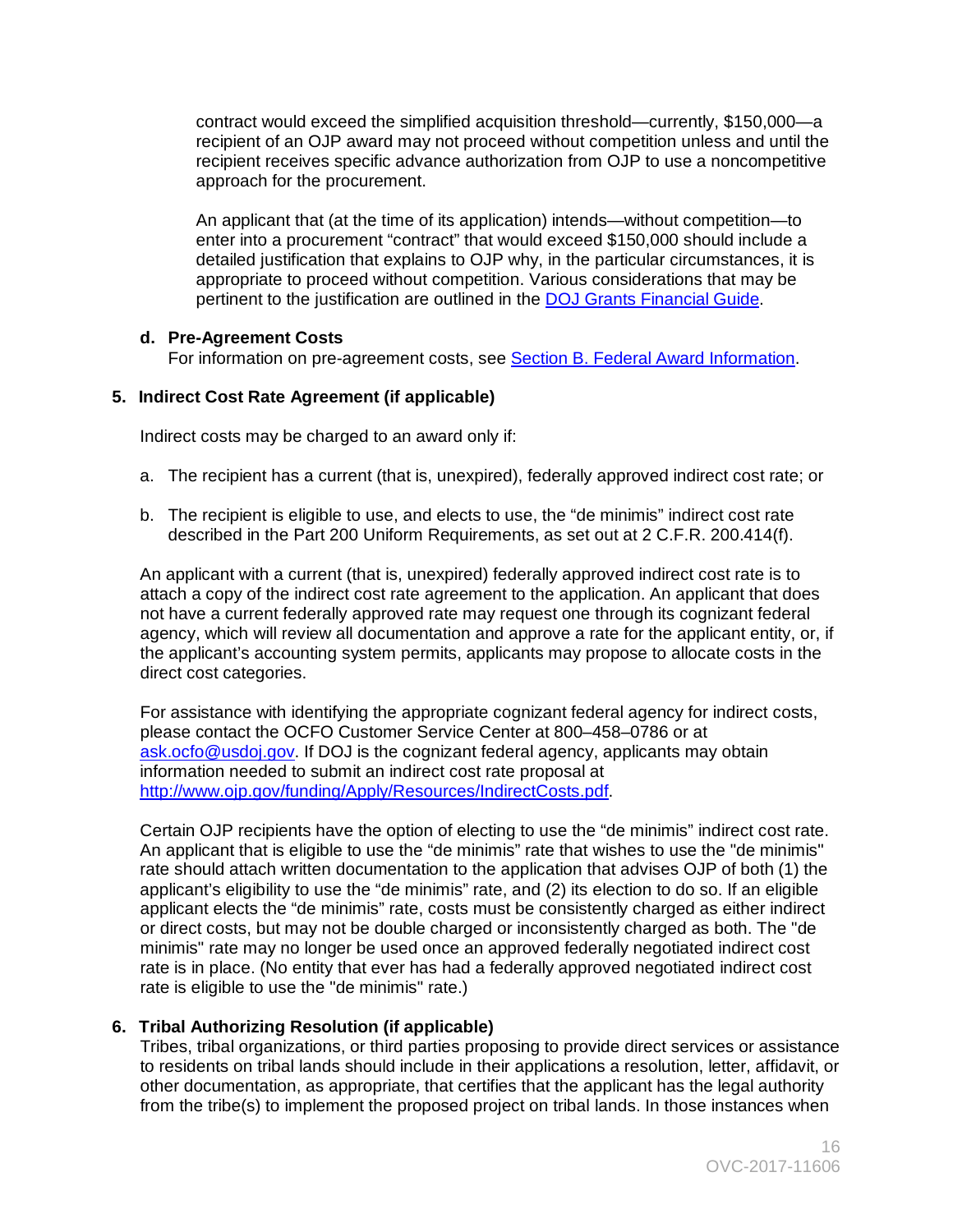contract would exceed the simplified acquisition threshold—currently, \$150,000—a recipient of an OJP award may not proceed without competition unless and until the recipient receives specific advance authorization from OJP to use a noncompetitive approach for the procurement.

 detailed justification that explains to OJP why, in the particular circumstances, it is An applicant that (at the time of its application) intends—without competition—to enter into a procurement "contract" that would exceed \$150,000 should include a appropriate to proceed without competition. Various considerations that may be pertinent to the justification are outlined in the **DOJ Grants Financial Guide**.

# **d. Pre-Agreement Costs**

For information on pre-agreement costs, see [Section B. Federal Award Information.](#page-6-0)

# **5. Indirect Cost Rate Agreement (if applicable)**

Indirect costs may be charged to an award only if:

- a. The recipient has a current (that is, unexpired), federally approved indirect cost rate; or
- b. The recipient is eligible to use, and elects to use, the "de minimis" indirect cost rate described in the Part 200 Uniform Requirements, as set out at 2 C.F.R. 200.414(f).

 attach a copy of the indirect cost rate agreement to the application. An applicant that does the applicant's accounting system permits, applicants may propose to allocate costs in the An applicant with a current (that is, unexpired) federally approved indirect cost rate is to not have a current federally approved rate may request one through its cognizant federal agency, which will review all documentation and approve a rate for the applicant entity, or, if direct cost categories.

 For assistance with identifying the appropriate cognizant federal agency for indirect costs, please contact the OCFO Customer Service Center at 800–458–0786 or at [ask.ocfo@usdoj.gov.](mailto:ask.ocfo@usdoj.gov) If DOJ is the cognizant federal agency, applicants may obtain information needed to submit an indirect cost rate proposal at [http://www.ojp.gov/funding/Apply/Resources/IndirectCosts.pdf.](http://www.ojp.gov/funding/Apply/Resources/IndirectCosts.pdf)

 Certain OJP recipients have the option of electing to use the "de minimis" indirect cost rate. applicant's eligibility to use the "de minimis" rate, and (2) its election to do so. If an eligible rate is eligible to use the "de minimis" rate.) An applicant that is eligible to use the "de minimis" rate that wishes to use the "de minimis" rate should attach written documentation to the application that advises OJP of both (1) the applicant elects the "de minimis" rate, costs must be consistently charged as either indirect or direct costs, but may not be double charged or inconsistently charged as both. The "de minimis" rate may no longer be used once an approved federally negotiated indirect cost rate is in place. (No entity that ever has had a federally approved negotiated indirect cost

# **6. Tribal Authorizing Resolution (if applicable)**

 Tribes, tribal organizations, or third parties proposing to provide direct services or assistance to residents on tribal lands should include in their applications a resolution, letter, affidavit, or other documentation, as appropriate, that certifies that the applicant has the legal authority from the tribe(s) to implement the proposed project on tribal lands. In those instances when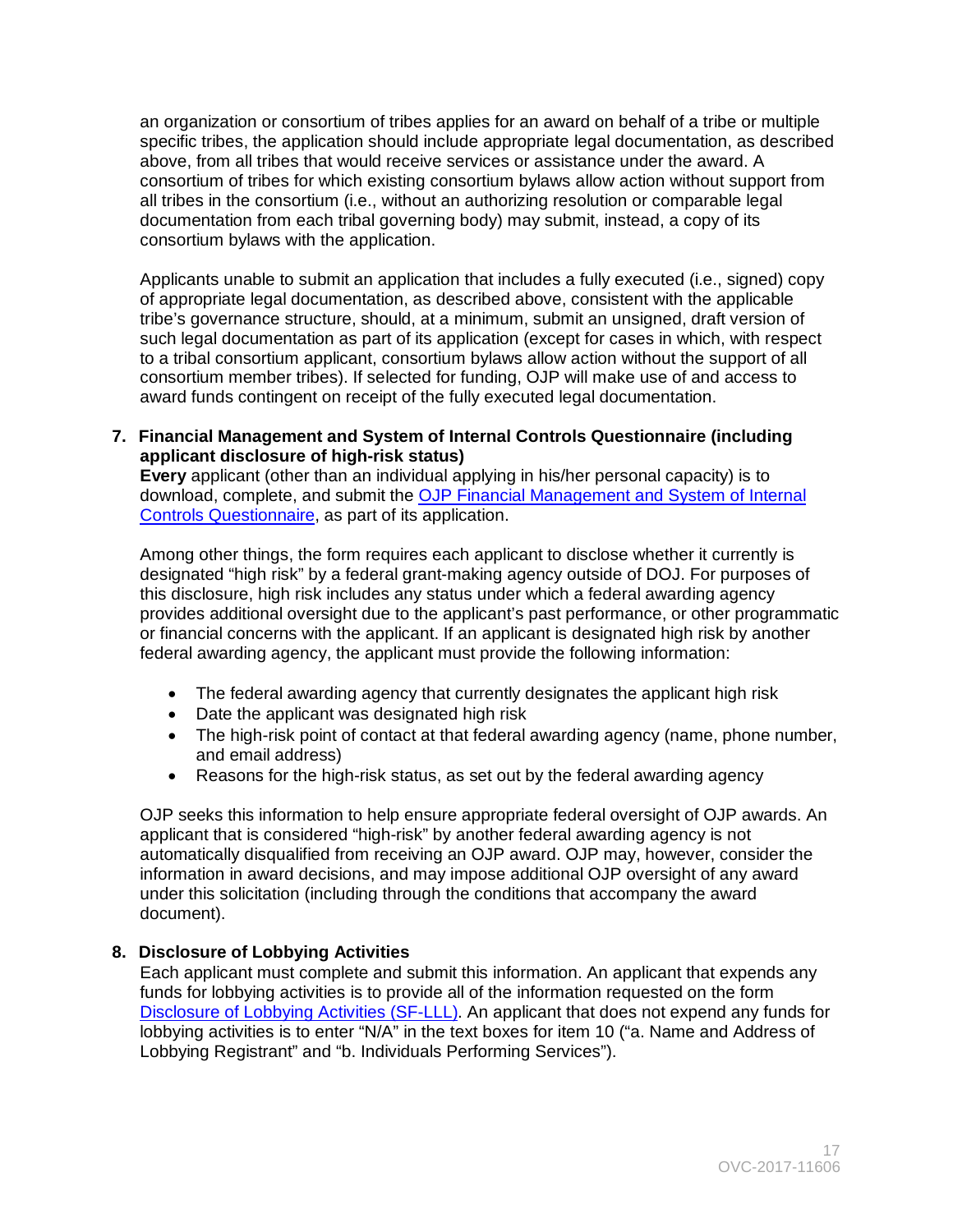an organization or consortium of tribes applies for an award on behalf of a tribe or multiple specific tribes, the application should include appropriate legal documentation, as described above, from all tribes that would receive services or assistance under the award. A consortium of tribes for which existing consortium bylaws allow action without support from all tribes in the consortium (i.e., without an authorizing resolution or comparable legal documentation from each tribal governing body) may submit, instead, a copy of its consortium bylaws with the application.

 tribe's governance structure, should, at a minimum, submit an unsigned, draft version of Applicants unable to submit an application that includes a fully executed (i.e., signed) copy of appropriate legal documentation, as described above, consistent with the applicable such legal documentation as part of its application (except for cases in which, with respect to a tribal consortium applicant, consortium bylaws allow action without the support of all consortium member tribes). If selected for funding, OJP will make use of and access to award funds contingent on receipt of the fully executed legal documentation.

**7. Financial Management and System of Internal Controls Questionnaire (including applicant disclosure of high-risk status)** 

 **Every** applicant (other than an individual applying in his/her personal capacity) is to download, complete, and submit the OJP Financial Management and System of Internal [Controls Questionnaire,](http://ojp.gov/funding/Apply/Resources/FinancialCapability.pdf) as part of its application.

 designated "high risk" by a federal grant-making agency outside of DOJ. For purposes of Among other things, the form requires each applicant to disclose whether it currently is this disclosure, high risk includes any status under which a federal awarding agency provides additional oversight due to the applicant's past performance, or other programmatic or financial concerns with the applicant. If an applicant is designated high risk by another federal awarding agency, the applicant must provide the following information:

- The federal awarding agency that currently designates the applicant high risk
- Date the applicant was designated high risk
- The high-risk point of contact at that federal awarding agency (name, phone number, and email address)
- Reasons for the high-risk status, as set out by the federal awarding agency

OJP seeks this information to help ensure appropriate federal oversight of OJP awards. An applicant that is considered "high-risk" by another federal awarding agency is not automatically disqualified from receiving an OJP award. OJP may, however, consider the information in award decisions, and may impose additional OJP oversight of any award under this solicitation (including through the conditions that accompany the award document).

# **8. Disclosure of Lobbying Activities**

 lobbying activities is to enter "N/A" in the text boxes for item 10 ("a. Name and Address of Each applicant must complete and submit this information. An applicant that expends any funds for lobbying activities is to provide all of the information requested on the form [Disclosure of Lobbying Activities \(SF-LLL\).](http://ojp.gov/funding/Apply/Resources/Disclosure.pdf) An applicant that does not expend any funds for Lobbying Registrant" and "b. Individuals Performing Services").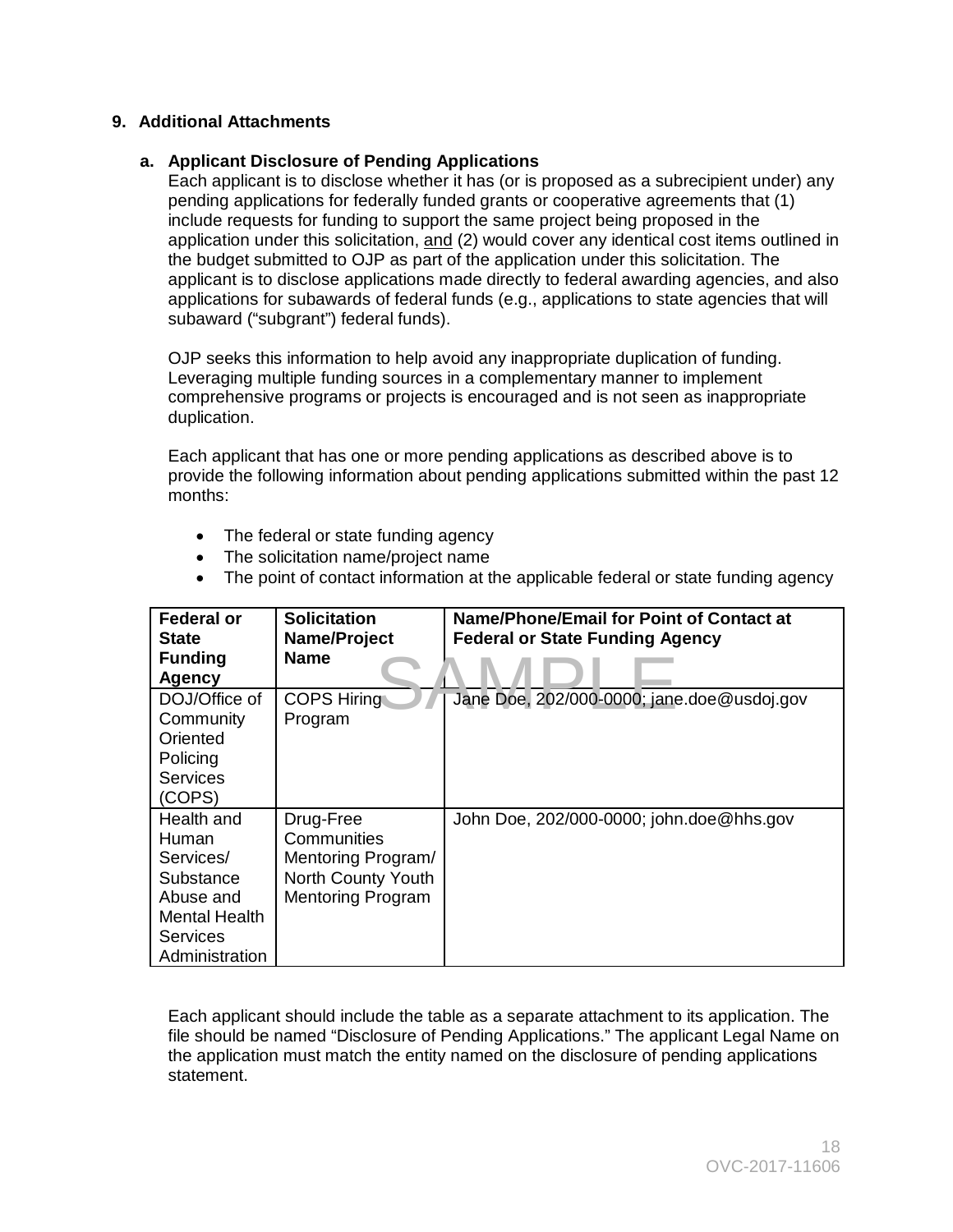# **9. Additional Attachments**

### **a. Applicant Disclosure of Pending Applications**

 Each applicant is to disclose whether it has (or is proposed as a subrecipient under) any application under this solicitation, <u>and</u> (2) would cover any identical cost items outlined in the budget submitted to OJP as part of the application under this solicitation. The pending applications for federally funded grants or cooperative agreements that (1) include requests for funding to support the same project being proposed in the applicant is to disclose applications made directly to federal awarding agencies, and also applications for subawards of federal funds (e.g., applications to state agencies that will subaward ("subgrant") federal funds).

OJP seeks this information to help avoid any inappropriate duplication of funding. Leveraging multiple funding sources in a complementary manner to implement comprehensive programs or projects is encouraged and is not seen as inappropriate duplication.

Each applicant that has one or more pending applications as described above is to provide the following information about pending applications submitted within the past 12 months:

- The federal or state funding agency
- The solicitation name/project name
- The point of contact information at the applicable federal or state funding agency

| <b>Federal or</b> | <b>Solicitation</b>      | Name/Phone/Email for Point of Contact at   |
|-------------------|--------------------------|--------------------------------------------|
| <b>State</b>      | Name/Project             | <b>Federal or State Funding Agency</b>     |
| <b>Funding</b>    | <b>Name</b>              |                                            |
| <b>Agency</b>     |                          |                                            |
| DOJ/Office of     | <b>COPS Hiring</b>       | Jane Doe, 202/000-0000; jane.doe@usdoj.gov |
| Community         | Program                  |                                            |
| Oriented          |                          |                                            |
| Policing          |                          |                                            |
| <b>Services</b>   |                          |                                            |
| (COPS)            |                          |                                            |
| Health and        | Drug-Free                | John Doe, 202/000-0000; john.doe@hhs.gov   |
| Human             | Communities              |                                            |
| Services/         | Mentoring Program/       |                                            |
| Substance         | North County Youth       |                                            |
| Abuse and         | <b>Mentoring Program</b> |                                            |
| Mental Health     |                          |                                            |
| Services          |                          |                                            |
| Administration    |                          |                                            |

Each applicant should include the table as a separate attachment to its application. The file should be named "Disclosure of Pending Applications." The applicant Legal Name on the application must match the entity named on the disclosure of pending applications statement.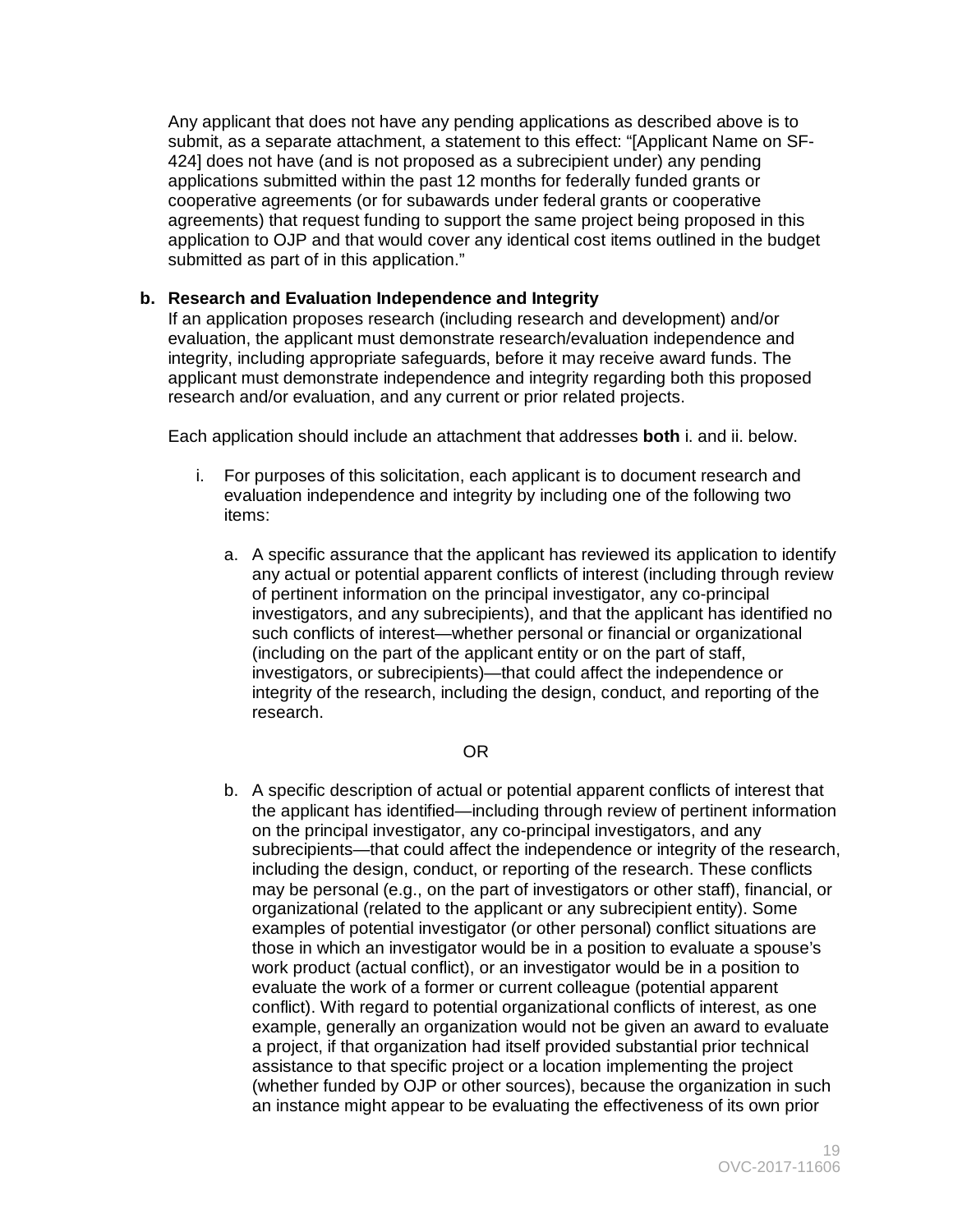submitted as part of in this application." Any applicant that does not have any pending applications as described above is to submit, as a separate attachment, a statement to this effect: "[Applicant Name on SF-424] does not have (and is not proposed as a subrecipient under) any pending applications submitted within the past 12 months for federally funded grants or cooperative agreements (or for subawards under federal grants or cooperative agreements) that request funding to support the same project being proposed in this application to OJP and that would cover any identical cost items outlined in the budget

# **b. Research and Evaluation Independence and Integrity**

 If an application proposes research (including research and development) and/or evaluation, the applicant must demonstrate research/evaluation independence and integrity, including appropriate safeguards, before it may receive award funds. The applicant must demonstrate independence and integrity regarding both this proposed research and/or evaluation, and any current or prior related projects.

Each application should include an attachment that addresses **both** i. and ii. below.

- i. For purposes of this solicitation, each applicant is to document research and evaluation independence and integrity by including one of the following two items:
	- any actual or potential apparent conflicts of interest (including through review (including on the part of the applicant entity or on the part of staff, a. A specific assurance that the applicant has reviewed its application to identify of pertinent information on the principal investigator, any co-principal investigators, and any subrecipients), and that the applicant has identified no such conflicts of interest—whether personal or financial or organizational investigators, or subrecipients)—that could affect the independence or integrity of the research, including the design, conduct, and reporting of the research.

#### OR

b. A specific description of actual or potential apparent conflicts of interest that a project, if that organization had itself provided substantial prior technical the applicant has identified—including through review of pertinent information on the principal investigator, any co-principal investigators, and any subrecipients—that could affect the independence or integrity of the research, including the design, conduct, or reporting of the research. These conflicts may be personal (e.g., on the part of investigators or other staff), financial, or organizational (related to the applicant or any subrecipient entity). Some examples of potential investigator (or other personal) conflict situations are those in which an investigator would be in a position to evaluate a spouse's work product (actual conflict), or an investigator would be in a position to evaluate the work of a former or current colleague (potential apparent conflict). With regard to potential organizational conflicts of interest, as one example, generally an organization would not be given an award to evaluate assistance to that specific project or a location implementing the project (whether funded by OJP or other sources), because the organization in such an instance might appear to be evaluating the effectiveness of its own prior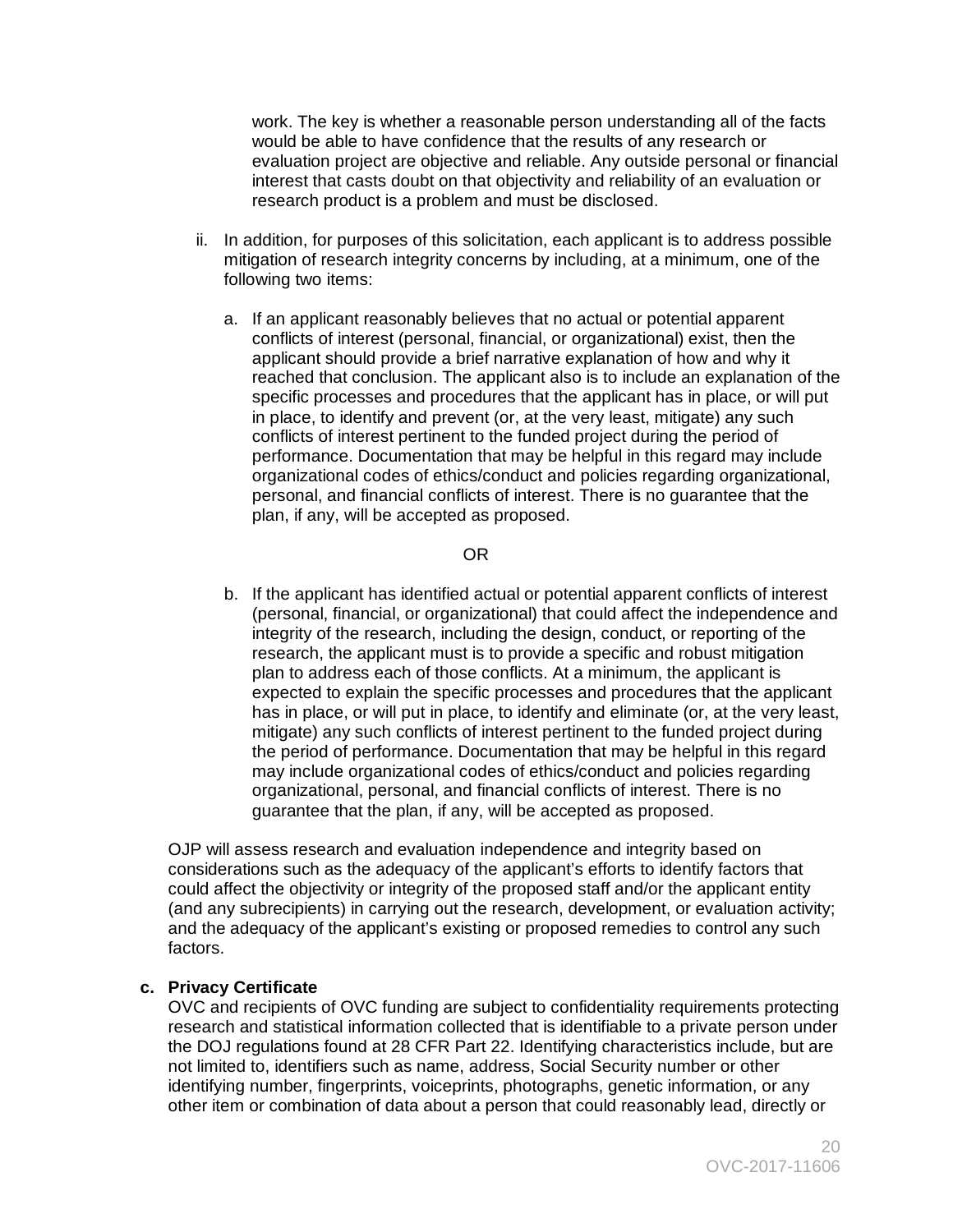work. The key is whether a reasonable person understanding all of the facts would be able to have confidence that the results of any research or evaluation project are objective and reliable. Any outside personal or financial interest that casts doubt on that objectivity and reliability of an evaluation or research product is a problem and must be disclosed.

- ii. In addition, for purposes of this solicitation, each applicant is to address possible mitigation of research integrity concerns by including, at a minimum, one of the following two items:
	- a. If an applicant reasonably believes that no actual or potential apparent applicant should provide a brief narrative explanation of how and why it conflicts of interest (personal, financial, or organizational) exist, then the reached that conclusion. The applicant also is to include an explanation of the specific processes and procedures that the applicant has in place, or will put in place, to identify and prevent (or, at the very least, mitigate) any such conflicts of interest pertinent to the funded project during the period of performance. Documentation that may be helpful in this regard may include organizational codes of ethics/conduct and policies regarding organizational, personal, and financial conflicts of interest. There is no guarantee that the plan, if any, will be accepted as proposed.

#### OR

 organizational, personal, and financial conflicts of interest. There is no guarantee that the plan, if any, will be accepted as proposed. b. If the applicant has identified actual or potential apparent conflicts of interest (personal, financial, or organizational) that could affect the independence and integrity of the research, including the design, conduct, or reporting of the research, the applicant must is to provide a specific and robust mitigation plan to address each of those conflicts. At a minimum, the applicant is expected to explain the specific processes and procedures that the applicant has in place, or will put in place, to identify and eliminate (or, at the very least, mitigate) any such conflicts of interest pertinent to the funded project during the period of performance. Documentation that may be helpful in this regard may include organizational codes of ethics/conduct and policies regarding

 considerations such as the adequacy of the applicant's efforts to identify factors that could affect the objectivity or integrity of the proposed staff and/or the applicant entity OJP will assess research and evaluation independence and integrity based on (and any subrecipients) in carrying out the research, development, or evaluation activity; and the adequacy of the applicant's existing or proposed remedies to control any such factors.

#### **c. Privacy Certificate**

OVC and recipients of OVC funding are subject to confidentiality requirements protecting research and statistical information collected that is identifiable to a private person under the DOJ regulations found at 28 CFR Part 22. Identifying characteristics include, but are not limited to, identifiers such as name, address, Social Security number or other identifying number, fingerprints, voiceprints, photographs, genetic information, or any other item or combination of data about a person that could reasonably lead, directly or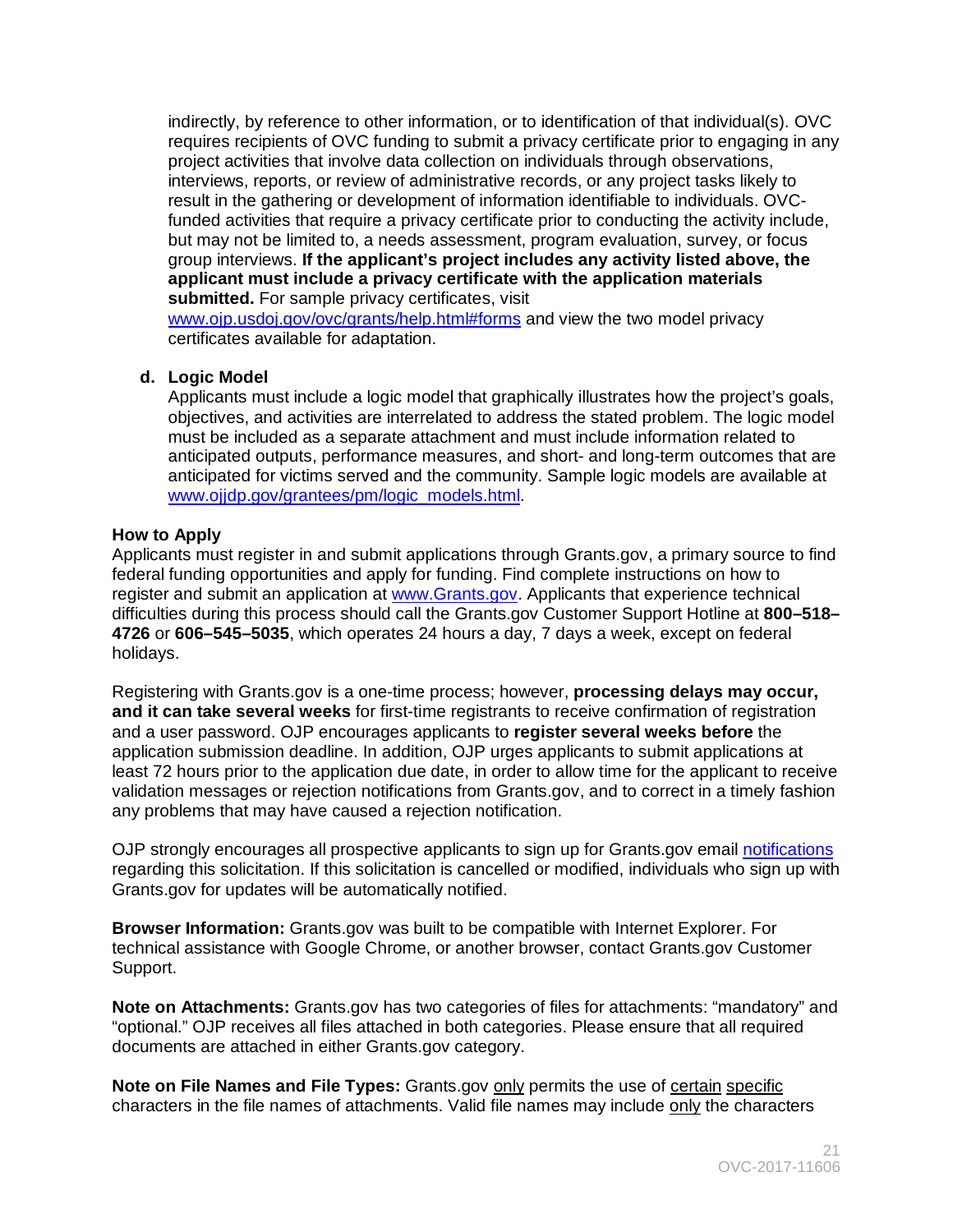indirectly, by reference to other information, or to identification of that individual(s). OVC funded activities that require a privacy certificate prior to conducting the activity include, requires recipients of OVC funding to submit a privacy certificate prior to engaging in any project activities that involve data collection on individuals through observations, interviews, reports, or review of administrative records, or any project tasks likely to result in the gathering or development of information identifiable to individuals. OVCbut may not be limited to, a needs assessment, program evaluation, survey, or focus group interviews. **If the applicant's project includes any activity listed above, the applicant must include a privacy certificate with the application materials submitted.** For sample privacy certificates, visit

[www.ojp.usdoj.gov/ovc/grants/help.html#forms](http://www.ojp.usdoj.gov/ovc/grants/help.html#forms) and view the two model privacy certificates available for adaptation.

#### **d. Logic Model**

 [www.ojjdp.gov/grantees/pm/logic\\_models.html.](http://www.ojjdp.gov/grantees/pm/logic_models.html) Applicants must include a logic model that graphically illustrates how the project's goals, objectives, and activities are interrelated to address the stated problem. The logic model must be included as a separate attachment and must include information related to anticipated outputs, performance measures, and short- and long-term outcomes that are anticipated for victims served and the community. Sample logic models are available at

# <span id="page-20-0"></span> **How to Apply**

Applicants must register in and submit applications through Grants.gov, a primary source to find federal funding opportunities and apply for funding. Find complete instructions on how to register and submit an application at [www.Grants.gov.](http://www.grants.gov/) Applicants that experience technical difficulties during this process should call the Grants.gov Customer Support Hotline at **800–518– 4726** or **606–545–5035**, which operates 24 hours a day, 7 days a week, except on federal holidays.

Registering with Grants.gov is a one-time process; however, **processing delays may occur, and it can take several weeks** for first-time registrants to receive confirmation of registration and a user password. OJP encourages applicants to **register several weeks before** the application submission deadline. In addition, OJP urges applicants to submit applications at least 72 hours prior to the application due date, in order to allow time for the applicant to receive validation messages or rejection notifications from Grants.gov, and to correct in a timely fashion any problems that may have caused a rejection notification.

OJP strongly encourages all prospective applicants to sign up for Grants.gov email [notifications](http://www.grants.gov/web/grants/manage-subscriptions.html)  regarding this solicitation. If this solicitation is cancelled or modified, individuals who sign up with Grants.gov for updates will be automatically notified.

 technical assistance with Google Chrome, or another browser, contact Grants.gov Customer **Browser Information:** Grants.gov was built to be compatible with Internet Explorer. For Support.

 **Note on Attachments:** Grants.gov has two categories of files for attachments: "mandatory" and documents are attached in either Grants.gov category. "optional." OJP receives all files attached in both categories. Please ensure that all required

characters in the file names of attachments. Valid file names may include only the characters **Note on File Names and File Types:** Grants.gov only permits the use of certain specific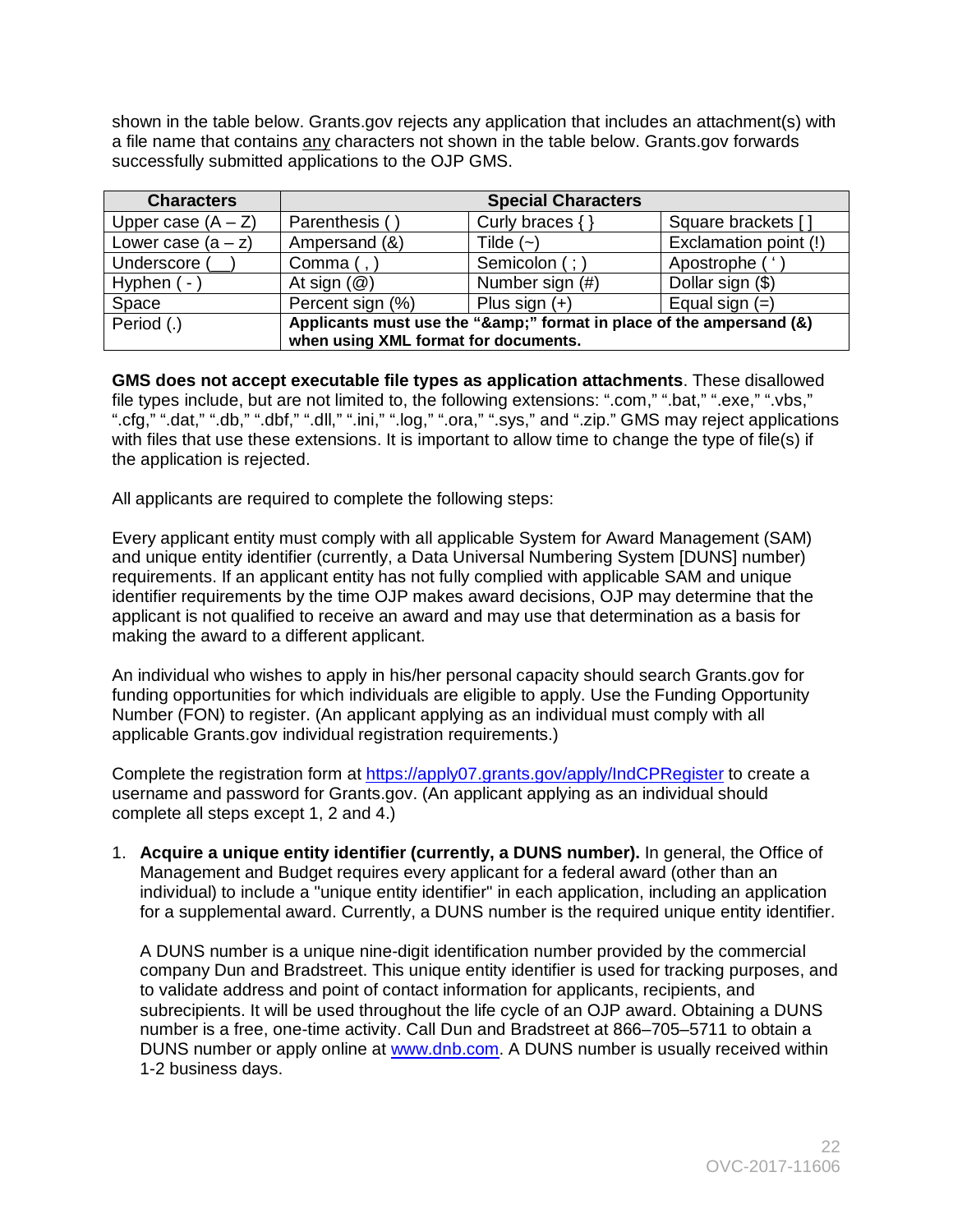shown in the table below. Grants.gov rejects any application that includes an attachment(s) with a file name that contains any characters not shown in the table below. Grants.gov forwards successfully submitted applications to the OJP GMS.

| <b>Characters</b>    |                                                                  | <b>Special Characters</b> |                       |
|----------------------|------------------------------------------------------------------|---------------------------|-----------------------|
| Upper case $(A - Z)$ | Parenthesis (                                                    | Curly braces $\{\}$       | Square brackets []    |
| Lower case $(a - z)$ | Ampersand (&)                                                    | Tilde $(-)$               | Exclamation point (!) |
| Underscore (         | Comma $($ , $)$                                                  | Semicolon (; )            | Apostrophe ('         |
| Hyphen (-            | At sign $(\mathcal{Q})$                                          | Number sign (#)           | Dollar sign (\$)      |
| Space                | Percent sign (%)                                                 | Plus sign $(+)$           | Equal sign $(=)$      |
| Period (.)           | Applicants must use the "&" format in place of the ampersand (&) |                           |                       |
|                      | when using XML format for documents.                             |                           |                       |

 ".cfg," ".dat," ".db," ".dbf," ".dll," ".ini," ".log," ".ora," ".sys," and ".zip." GMS may reject applications with files that use these extensions. It is important to allow time to change the type of file(s) if **GMS does not accept executable file types as application attachments**. These disallowed file types include, but are not limited to, the following extensions: ".com," ".bat," ".exe," ".vbs," the application is rejected.

All applicants are required to complete the following steps:

 Every applicant entity must comply with all applicable System for Award Management (SAM) and unique entity identifier (currently, a Data Universal Numbering System [DUNS] number) requirements. If an applicant entity has not fully complied with applicable SAM and unique identifier requirements by the time OJP makes award decisions, OJP may determine that the applicant is not qualified to receive an award and may use that determination as a basis for making the award to a different applicant.

 Number (FON) to register. (An applicant applying as an individual must comply with all An individual who wishes to apply in his/her personal capacity should search Grants.gov for funding opportunities for which individuals are eligible to apply. Use the Funding Opportunity applicable Grants.gov individual registration requirements.)

Complete the registration form at<https://apply07.grants.gov/apply/IndCPRegister>to create a username and password for Grants.gov. (An applicant applying as an individual should complete all steps except 1, 2 and 4.)

 Management and Budget requires every applicant for a federal award (other than an individual) to include a "unique entity identifier" in each application, including an application for a supplemental award. Currently, a DUNS number is the required unique entity identifier. 1. **Acquire a unique entity identifier (currently, a DUNS number).** In general, the Office of

A DUNS number is a unique nine-digit identification number provided by the commercial company Dun and Bradstreet. This unique entity identifier is used for tracking purposes, and to validate address and point of contact information for applicants, recipients, and subrecipients. It will be used throughout the life cycle of an OJP award. Obtaining a DUNS number is a free, one-time activity. Call Dun and Bradstreet at 866–705–5711 to obtain a DUNS number or apply online at [www.dnb.com.](http://www.dnb.com/) A DUNS number is usually received within 1-2 business days.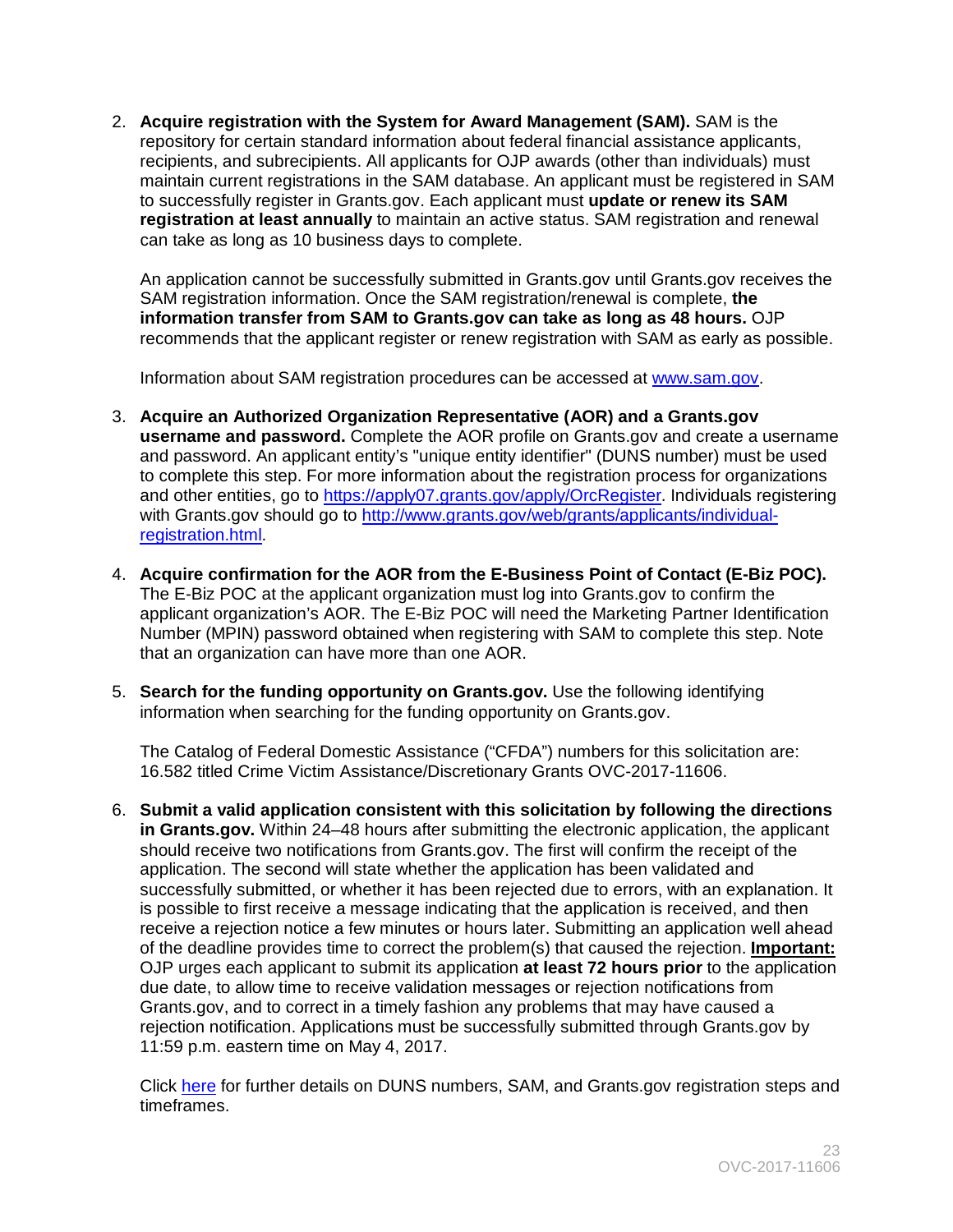2. **Acquire registration with the System for Award Management (SAM).** SAM is the maintain current registrations in the SAM database. An applicant must be registered in SAM  to successfully register in Grants.gov. Each applicant must **update or renew its SAM**  repository for certain standard information about federal financial assistance applicants, recipients, and subrecipients. All applicants for OJP awards (other than individuals) must **registration at least annually** to maintain an active status. SAM registration and renewal can take as long as 10 business days to complete.

An application cannot be successfully submitted in Grants.gov until Grants.gov receives the SAM registration information. Once the SAM registration/renewal is complete, **the information transfer from SAM to Grants.gov can take as long as 48 hours.** OJP recommends that the applicant register or renew registration with SAM as early as possible.

Information about SAM registration procedures can be accessed at [www.sam.gov.](https://www.sam.gov/portal/SAM/#1)

- 3. **Acquire an Authorized Organization Representative (AOR) and a Grants.gov username and password.** Complete the AOR profile on Grants.gov and create a username and password. An applicant entity's "unique entity identifier" (DUNS number) must be used to complete this step. For more information about the registration process for organizations and other entities, go to [https://apply07.grants.gov/apply/OrcRegister.](https://apply07.grants.gov/apply/OrcRegister) Individuals registering with Grants.gov should go to [http://www.grants.gov/web/grants/applicants/individual](http://www.grants.gov/web/grants/applicants/individual-registration.html)[registration.html.](http://www.grants.gov/web/grants/applicants/individual-registration.html)
- 4. **Acquire confirmation for the AOR from the E-Business Point of Contact (E-Biz POC).**  The E-Biz POC at the applicant organization must log into Grants.gov to confirm the applicant organization's AOR. The E-Biz POC will need the Marketing Partner Identification Number (MPIN) password obtained when registering with SAM to complete this step. Note that an organization can have more than one AOR.
- 5. **Search for the funding opportunity on Grants.gov.** Use the following identifying information when searching for the funding opportunity on Grants.gov.

The Catalog of Federal Domestic Assistance ("CFDA") numbers for this solicitation are: 16.582 titled Crime Victim Assistance/Discretionary Grants OVC-2017-11606.

6. **Submit a valid application consistent with this solicitation by following the directions in Grants.gov.** Within 24–48 hours after submitting the electronic application, the applicant should receive two notifications from Grants.gov. The first will confirm the receipt of the application. The second will state whether the application has been validated and successfully submitted, or whether it has been rejected due to errors, with an explanation. It is possible to first receive a message indicating that the application is received, and then receive a rejection notice a few minutes or hours later. Submitting an application well ahead of the deadline provides time to correct the problem(s) that caused the rejection. **Important:**  OJP urges each applicant to submit its application **at least 72 hours prior** to the application due date, to allow time to receive validation messages or rejection notifications from Grants.gov, and to correct in a timely fashion any problems that may have caused a rejection notification. Applications must be successfully submitted through Grants.gov by 11:59 p.m. eastern time on May 4, 2017.

Click [here](http://www.grants.gov/web/grants/applicants/organization-registration.html) for further details on DUNS numbers, SAM, and Grants.gov registration steps and timeframes.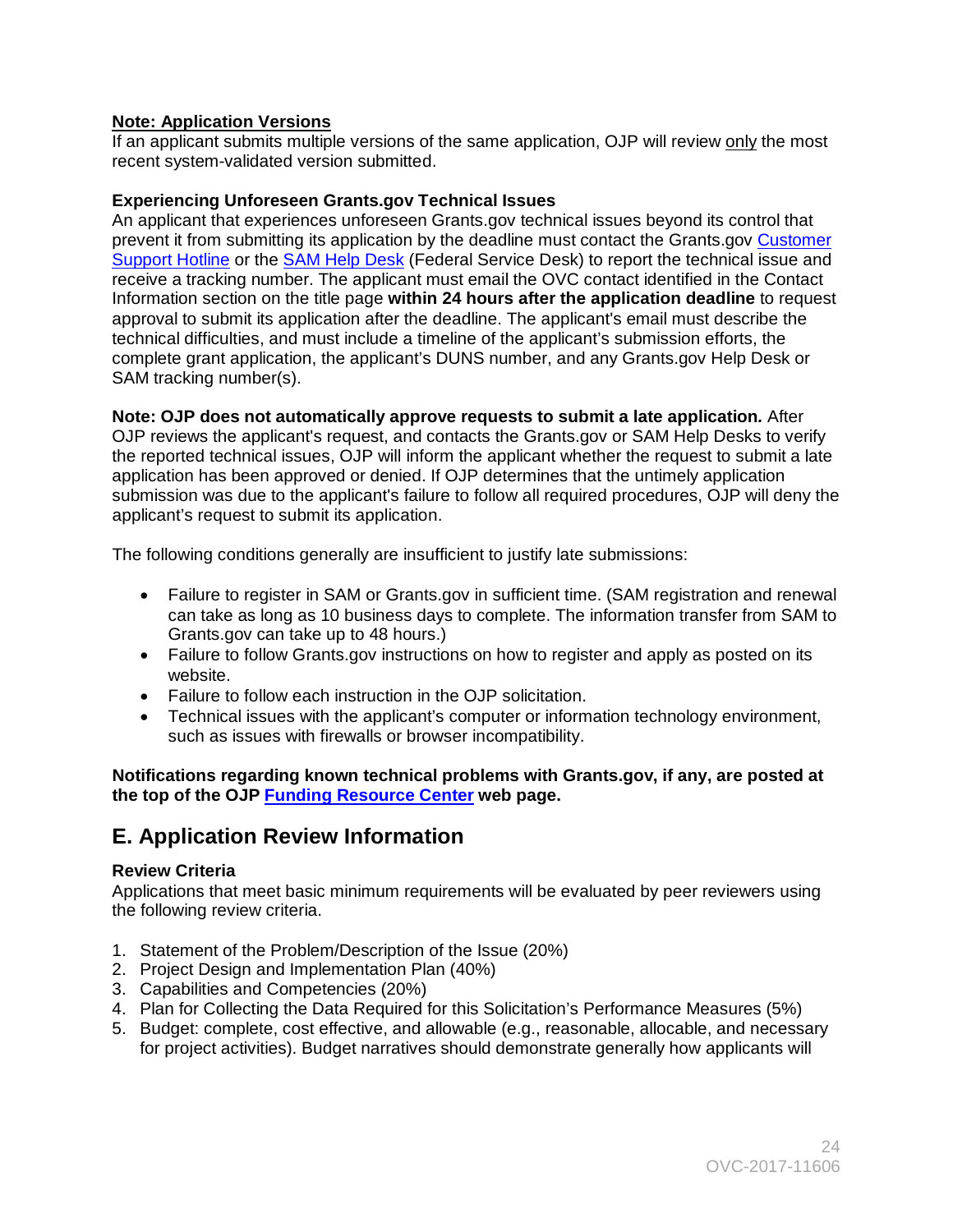# **Note: Application Versions**

 recent system-validated version submitted. If an applicant submits multiple versions of the same application, OJP will review only the most

# **Experiencing Unforeseen Grants.gov Technical Issues**

 receive a tracking number. The applicant must email the OVC contact identified in the Contact An applicant that experiences unforeseen Grants.gov technical issues beyond its control that prevent it from submitting its application by the deadline must contact the Grants.gov [Customer](http://www.grants.gov/web/grants/support.html)  [Support Hotline](http://www.grants.gov/web/grants/support.html) or the [SAM Help Desk](https://www.fsd.gov/fsd-gov/home.do) (Federal Service Desk) to report the technical issue and Information section on the title page **within 24 hours after the application deadline** to request approval to submit its application after the deadline. The applicant's email must describe the technical difficulties, and must include a timeline of the applicant's submission efforts, the complete grant application, the applicant's DUNS number, and any Grants.gov Help Desk or SAM tracking number(s).

**Note: OJP does not automatically approve requests to submit a late application***.* After OJP reviews the applicant's request, and contacts the Grants.gov or SAM Help Desks to verify the reported technical issues, OJP will inform the applicant whether the request to submit a late application has been approved or denied. If OJP determines that the untimely application submission was due to the applicant's failure to follow all required procedures, OJP will deny the applicant's request to submit its application.

The following conditions generally are insufficient to justify late submissions:

- Failure to register in SAM or Grants.gov in sufficient time. (SAM registration and renewal can take as long as 10 business days to complete. The information transfer from SAM to Grants.gov can take up to 48 hours.)
- Failure to follow Grants.gov instructions on how to register and apply as posted on its website.
- Failure to follow each instruction in the OJP solicitation.
- such as issues with firewalls or browser incompatibility. • Technical issues with the applicant's computer or information technology environment,

**Notifications regarding known technical problems with Grants.gov, if any, are posted at the top of the OJP [Funding Resource Center](http://ojp.gov/funding/index.htm) web page.** 

# <span id="page-23-0"></span>**E. Application Review Information**

# <span id="page-23-1"></span>**Review Criteria**

Applications that meet basic minimum requirements will be evaluated by peer reviewers using the following review criteria.

- 1. Statement of the Problem/Description of the Issue (20%)
- 2. Project Design and Implementation Plan (40%)
- 3. Capabilities and Competencies (20%)
- 4. Plan for Collecting the Data Required for this Solicitation's Performance Measures (5%)
- for project activities). Budget narratives should demonstrate generally how applicants will 5. Budget: complete, cost effective, and allowable (e.g., reasonable, allocable, and necessary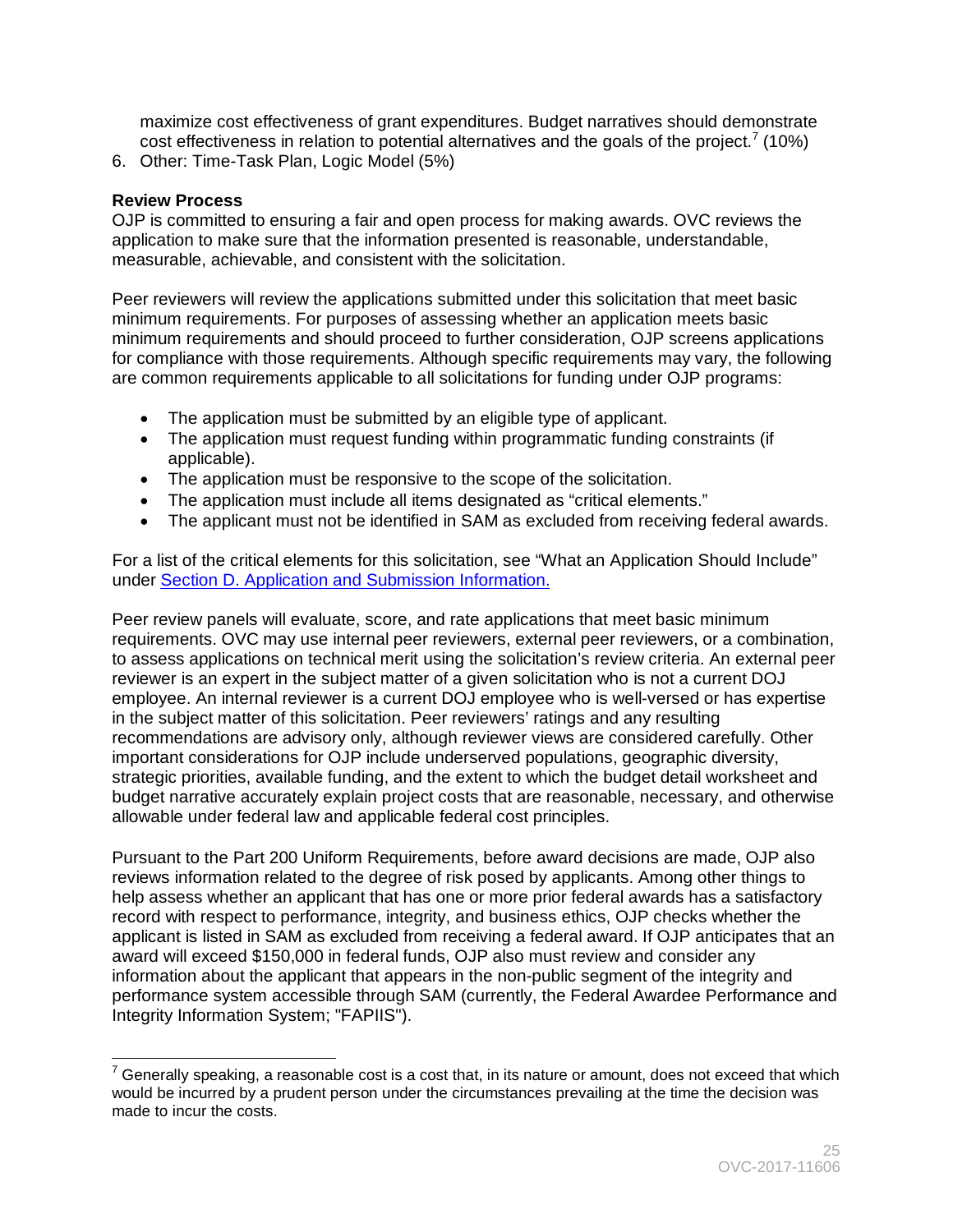cost effectiveness in relation to potential alternatives and the goals of the project.<sup>[7](#page-24-1)</sup> (10%) maximize cost effectiveness of grant expenditures. Budget narratives should demonstrate

6. Other: Time-Task Plan, Logic Model (5%)

# <span id="page-24-0"></span>**Review Process**

OJP is committed to ensuring a fair and open process for making awards. OVC reviews the application to make sure that the information presented is reasonable, understandable, measurable, achievable, and consistent with the solicitation.

 for compliance with those requirements. Although specific requirements may vary, the following Peer reviewers will review the applications submitted under this solicitation that meet basic minimum requirements. For purposes of assessing whether an application meets basic minimum requirements and should proceed to further consideration, OJP screens applications are common requirements applicable to all solicitations for funding under OJP programs:

- The application must be submitted by an eligible type of applicant.
- The application must request funding within programmatic funding constraints (if applicable).
- The application must be responsive to the scope of the solicitation.
- The application must include all items designated as "critical elements."
- The applicant must not be identified in SAM as excluded from receiving federal awards.

For a list of the critical elements for this solicitation, see "What an Application Should Include" under Section D. Application and Submission Information.

 employee. An internal reviewer is a current DOJ employee who is well-versed or has expertise Peer review panels will evaluate, score, and rate applications that meet basic minimum requirements. OVC may use internal peer reviewers, external peer reviewers, or a combination, to assess applications on technical merit using the solicitation's review criteria. An external peer reviewer is an expert in the subject matter of a given solicitation who is not a current DOJ in the subject matter of this solicitation. Peer reviewers' ratings and any resulting recommendations are advisory only, although reviewer views are considered carefully. Other important considerations for OJP include underserved populations, geographic diversity, strategic priorities, available funding, and the extent to which the budget detail worksheet and budget narrative accurately explain project costs that are reasonable, necessary, and otherwise allowable under federal law and applicable federal cost principles.

 applicant is listed in SAM as excluded from receiving a federal award. If OJP anticipates that an Pursuant to the Part 200 Uniform Requirements, before award decisions are made, OJP also reviews information related to the degree of risk posed by applicants. Among other things to help assess whether an applicant that has one or more prior federal awards has a satisfactory record with respect to performance, integrity, and business ethics, OJP checks whether the award will exceed \$150,000 in federal funds, OJP also must review and consider any information about the applicant that appears in the non-public segment of the integrity and performance system accessible through SAM (currently, the Federal Awardee Performance and Integrity Information System; "FAPIIS").

<span id="page-24-1"></span> $\overline{a}$  $^7$  Generally speaking, a reasonable cost is a cost that, in its nature or amount, does not exceed that which would be incurred by a prudent person under the circumstances prevailing at the time the decision was made to incur the costs.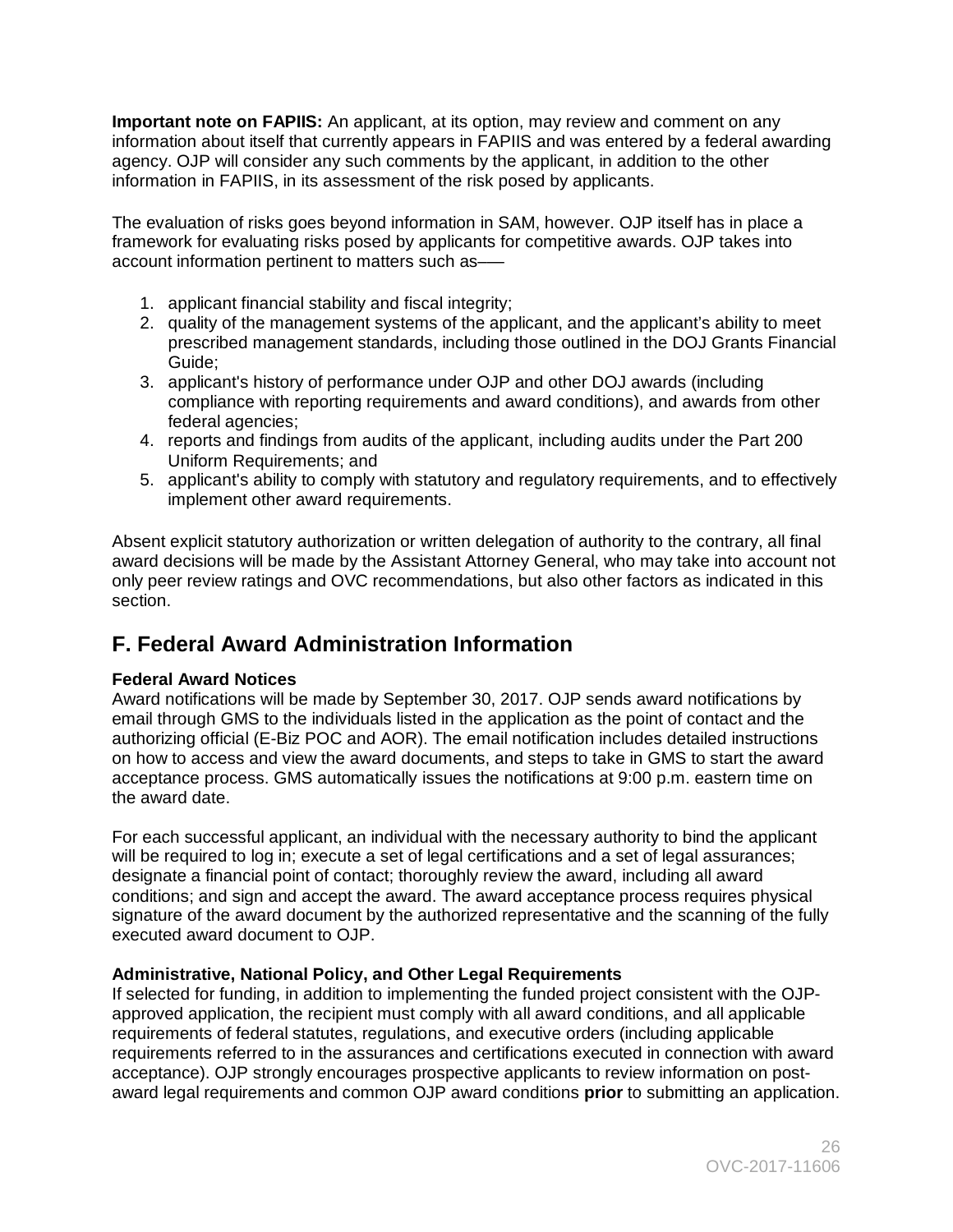**Important note on FAPIIS:** An applicant, at its option, may review and comment on any information about itself that currently appears in FAPIIS and was entered by a federal awarding agency. OJP will consider any such comments by the applicant, in addition to the other information in FAPIIS, in its assessment of the risk posed by applicants.

The evaluation of risks goes beyond information in SAM, however. OJP itself has in place a framework for evaluating risks posed by applicants for competitive awards. OJP takes into account information pertinent to matters such as–—

- 1. applicant financial stability and fiscal integrity;
- 2. quality of the management systems of the applicant, and the applicant's ability to meet prescribed management standards, including those outlined in the DOJ Grants Financial Guide;
- 3. applicant's history of performance under OJP and other DOJ awards (including compliance with reporting requirements and award conditions), and awards from other federal agencies;
- 4. reports and findings from audits of the applicant, including audits under the Part 200 Uniform Requirements; and
- 5. applicant's ability to comply with statutory and regulatory requirements, and to effectively implement other award requirements.

 implement other award requirements. Absent explicit statutory authorization or written delegation of authority to the contrary, all final award decisions will be made by the Assistant Attorney General, who may take into account not only peer review ratings and OVC recommendations, but also other factors as indicated in this section.

# <span id="page-25-0"></span>**F. Federal Award Administration Information**

# <span id="page-25-1"></span>**Federal Award Notices**

Award notifications will be made by September 30, 2017. OJP sends award notifications by email through GMS to the individuals listed in the application as the point of contact and the authorizing official (E-Biz POC and AOR). The email notification includes detailed instructions on how to access and view the award documents, and steps to take in GMS to start the award acceptance process. GMS automatically issues the notifications at 9:00 p.m. eastern time on the award date.

 designate a financial point of contact; thoroughly review the award, including all award conditions; and sign and accept the award. The award acceptance process requires physical For each successful applicant, an individual with the necessary authority to bind the applicant will be required to log in; execute a set of legal certifications and a set of legal assurances; signature of the award document by the authorized representative and the scanning of the fully executed award document to OJP.

# <span id="page-25-2"></span>**Administrative, National Policy, and Other Legal Requirements**

If selected for funding, in addition to implementing the funded project consistent with the OJPapproved application, the recipient must comply with all award conditions, and all applicable requirements of federal statutes, regulations, and executive orders (including applicable requirements referred to in the assurances and certifications executed in connection with award acceptance). OJP strongly encourages prospective applicants to review information on postaward legal requirements and common OJP award conditions **prior** to submitting an application.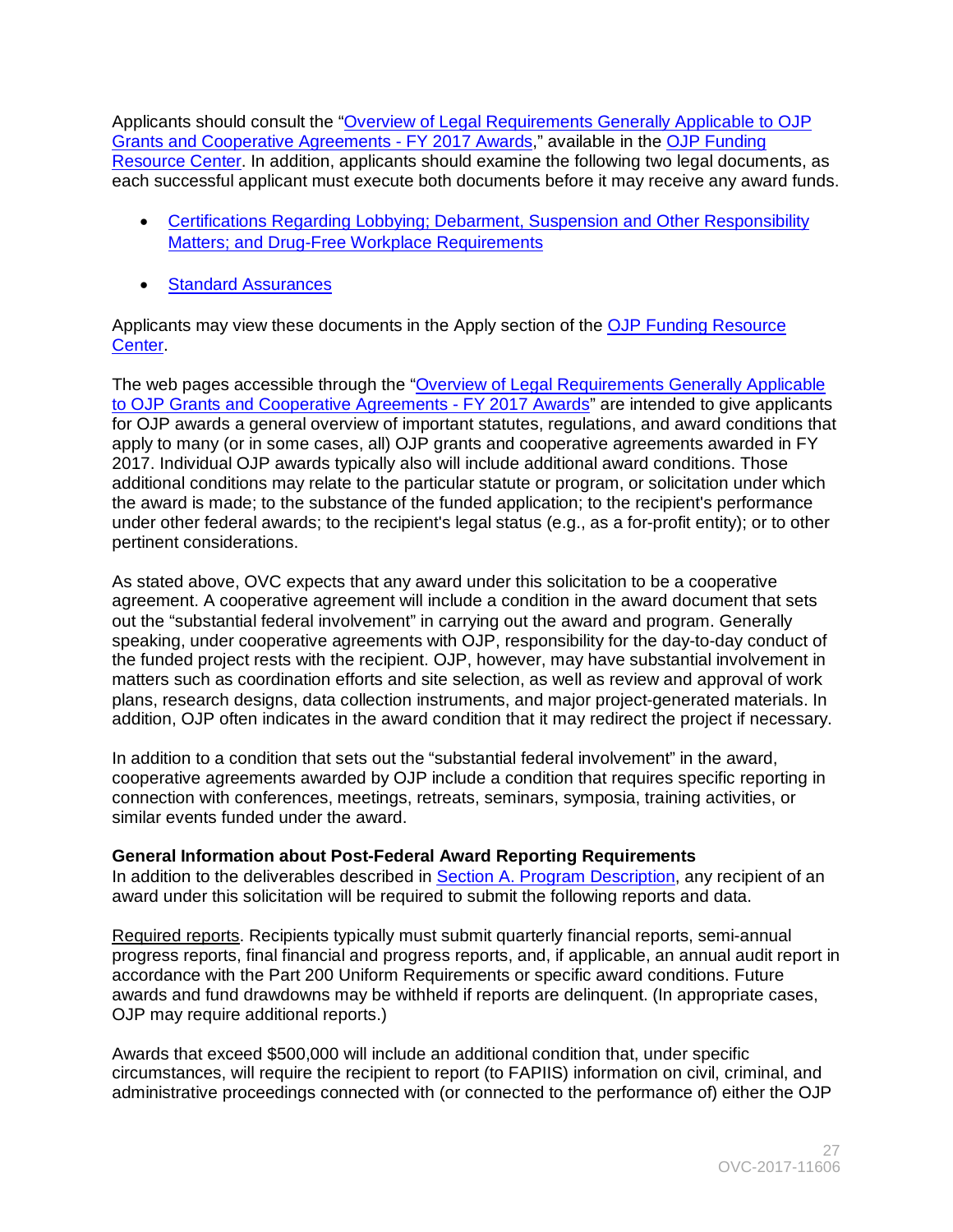[Grants and Cooperative Agreements -](http://ojp.gov/funding/Explore/SolicitationRequirements/index.htm) FY 2017 Awards," available in the OJP Funding Applicants should consult the ["Overview of Legal Requirements Generally Applicable to OJP](http://ojp.gov/funding/Explore/SolicitationRequirements/index.htm)  [Resource Center.](http://ojp.gov/funding/index.htm) In addition, applicants should examine the following two legal documents, as each successful applicant must execute both documents before it may receive any award funds.

- [Matters; and Drug-Free Workplace Requirements](http://ojp.gov/funding/Apply/Resources/Certifications.pdf)  • Certifications Regarding Lobbying; Debarment, Suspension and Other Responsibility
- Standard Assurances

Applicants may view these documents in the Apply section of the OJP Funding Resource **[Center.](http://ojp.gov/funding/index.htm)** 

[to OJP Grants and Cooperative Agreements -](http://ojp.gov/funding/Explore/SolicitationRequirements/index.htm) FY 2017 Awards" are intended to give applicants additional conditions may relate to the particular statute or program, or solicitation under which The web pages accessible through the ["Overview of Legal Requirements Generally Applicable](http://ojp.gov/funding/Explore/SolicitationRequirements/index.htm)  for OJP awards a general overview of important statutes, regulations, and award conditions that apply to many (or in some cases, all) OJP grants and cooperative agreements awarded in FY 2017. Individual OJP awards typically also will include additional award conditions. Those the award is made; to the substance of the funded application; to the recipient's performance under other federal awards; to the recipient's legal status (e.g., as a for-profit entity); or to other pertinent considerations.

As stated above, OVC expects that any award under this solicitation to be a cooperative agreement. A cooperative agreement will include a condition in the award document that sets out the "substantial federal involvement" in carrying out the award and program. Generally speaking, under cooperative agreements with OJP, responsibility for the day-to-day conduct of the funded project rests with the recipient. OJP, however, may have substantial involvement in matters such as coordination efforts and site selection, as well as review and approval of work plans, research designs, data collection instruments, and major project-generated materials. In addition, OJP often indicates in the award condition that it may redirect the project if necessary.

In addition to a condition that sets out the "substantial federal involvement" in the award, cooperative agreements awarded by OJP include a condition that requires specific reporting in connection with conferences, meetings, retreats, seminars, symposia, training activities, or similar events funded under the award.

# <span id="page-26-0"></span>**General Information about Post-Federal Award Reporting Requirements**

In addition to the deliverables described in [Section A. Program Description,](#page-3-0) any recipient of an award under this solicitation will be required to submit the following reports and data.

 OJP may require additional reports.) Required reports. Recipients typically must submit quarterly financial reports, semi-annual progress reports, final financial and progress reports, and, if applicable, an annual audit report in accordance with the Part 200 Uniform Requirements or specific award conditions. Future awards and fund drawdowns may be withheld if reports are delinquent. (In appropriate cases,

Awards that exceed \$500,000 will include an additional condition that, under specific circumstances, will require the recipient to report (to FAPIIS) information on civil, criminal, and administrative proceedings connected with (or connected to the performance of) either the OJP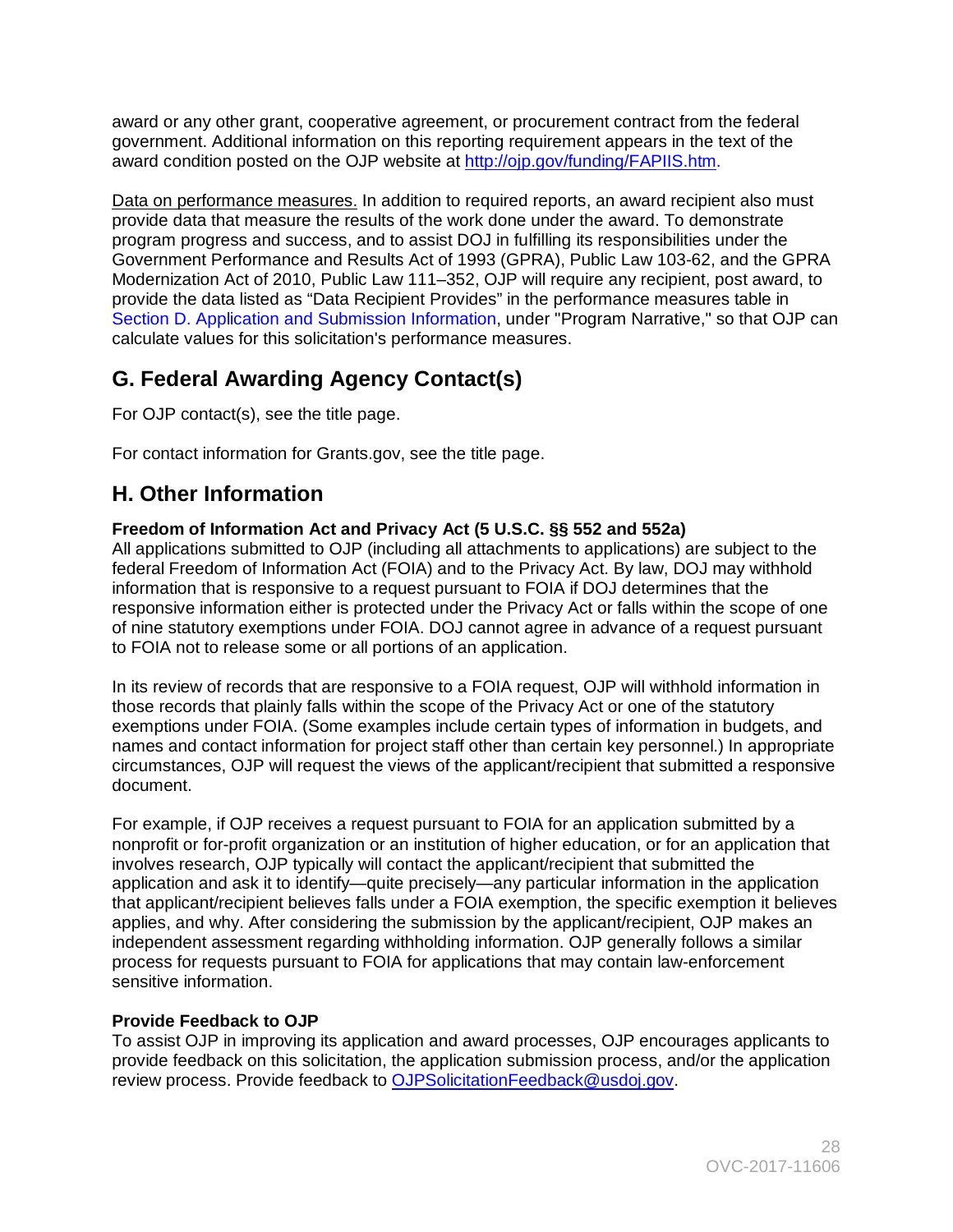award or any other grant, cooperative agreement, or procurement contract from the federal government. Additional information on this reporting requirement appears in the text of the award condition posted on the OJP website at [http://ojp.gov/funding/FAPIIS.htm.](http://ojp.gov/funding/FAPIIS.htm)

Data on performance measures. In addition to required reports, an award recipient also must calculate values for this solicitation's performance measures. provide data that measure the results of the work done under the award. To demonstrate program progress and success, and to assist DOJ in fulfilling its responsibilities under the Government Performance and Results Act of 1993 (GPRA), Public Law 103-62, and the GPRA Modernization Act of 2010, Public Law 111–352, OJP will require any recipient, post award, to provide the data listed as "Data Recipient Provides" in the performance measures table in Section D. Application and Submission Information, under "Program Narrative," so that OJP can

# <span id="page-27-0"></span> **G. Federal Awarding Agency Contact(s)**

For OJP contact(s), see the title page.

For contact information for Grants.gov, see the title page.

# <span id="page-27-1"></span> **H. Other Information**

# <span id="page-27-2"></span>**Freedom of Information Act and Privacy Act (5 U.S.C. §§ 552 and 552a)**

All applications submitted to OJP (including all attachments to applications) are subject to the federal Freedom of Information Act (FOIA) and to the Privacy Act. By law, DOJ may withhold information that is responsive to a request pursuant to FOIA if DOJ determines that the responsive information either is protected under the Privacy Act or falls within the scope of one of nine statutory exemptions under FOIA. DOJ cannot agree in advance of a request pursuant to FOIA not to release some or all portions of an application.

In its review of records that are responsive to a FOIA request, OJP will withhold information in those records that plainly falls within the scope of the Privacy Act or one of the statutory exemptions under FOIA. (Some examples include certain types of information in budgets, and names and contact information for project staff other than certain key personnel.) In appropriate circumstances, OJP will request the views of the applicant/recipient that submitted a responsive document.

 independent assessment regarding withholding information. OJP generally follows a similar For example, if OJP receives a request pursuant to FOIA for an application submitted by a nonprofit or for-profit organization or an institution of higher education, or for an application that involves research, OJP typically will contact the applicant/recipient that submitted the application and ask it to identify—quite precisely—any particular information in the application that applicant/recipient believes falls under a FOIA exemption, the specific exemption it believes applies, and why. After considering the submission by the applicant/recipient, OJP makes an process for requests pursuant to FOIA for applications that may contain law-enforcement sensitive information.

# <span id="page-27-3"></span>**Provide Feedback to OJP**

To assist OJP in improving its application and award processes, OJP encourages applicants to provide feedback on this solicitation, the application submission process, and/or the application review process. Provide feedback to [OJPSolicitationFeedback@usdoj.gov.](mailto:OJPSolicitationFeedback@usdoj.gov)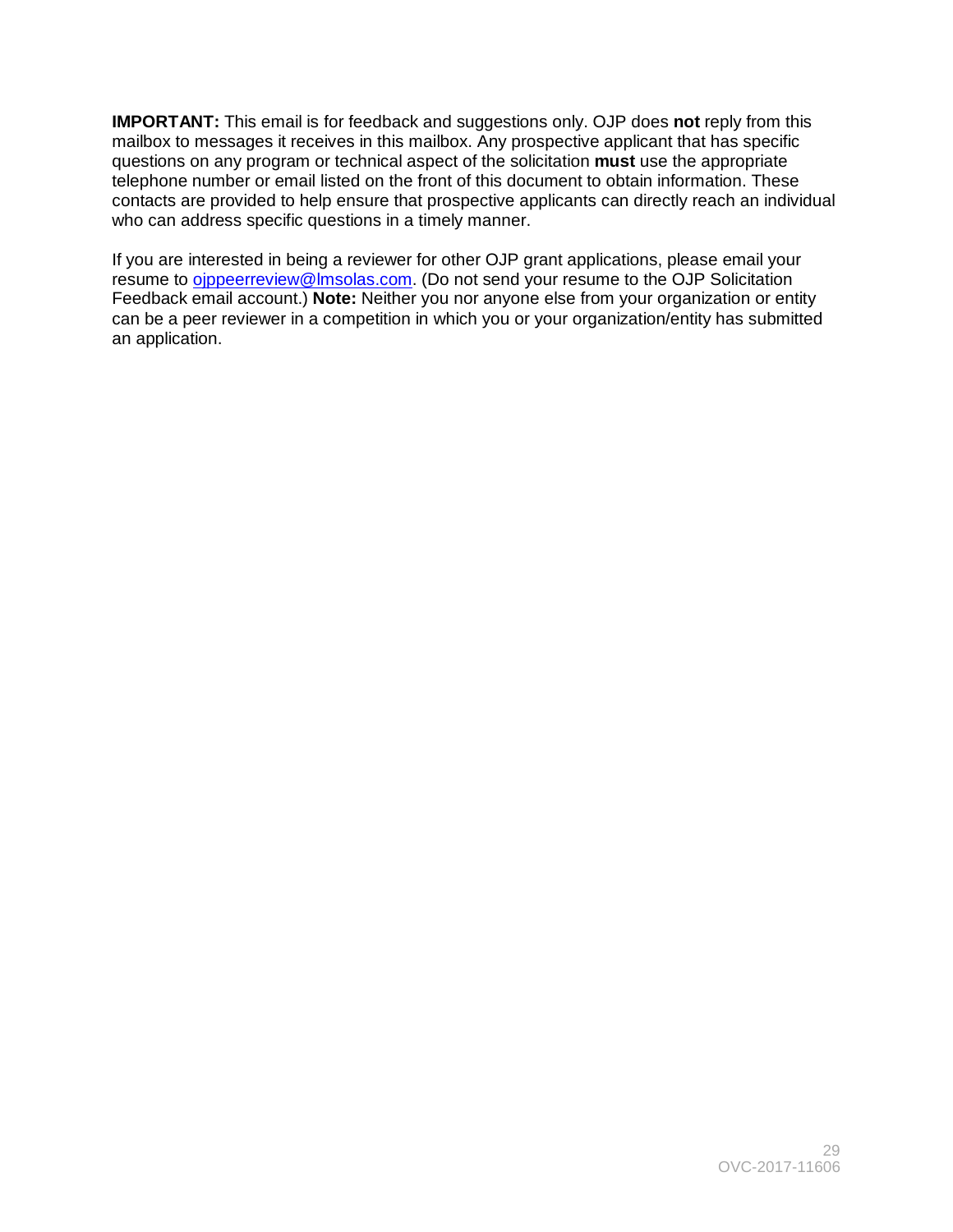**IMPORTANT:** This email is for feedback and suggestions only. OJP does **not** reply from this questions on any program or technical aspect of the solicitation **must** use the appropriate mailbox to messages it receives in this mailbox. Any prospective applicant that has specific telephone number or email listed on the front of this document to obtain information. These contacts are provided to help ensure that prospective applicants can directly reach an individual who can address specific questions in a timely manner.

 Feedback email account.) **Note:** Neither you nor anyone else from your organization or entity can be a peer reviewer in a competition in which you or your organization/entity has submitted If you are interested in being a reviewer for other OJP grant applications, please email your resume to oppeerreview@lmsolas.com. (Do not send your resume to the OJP Solicitation an application.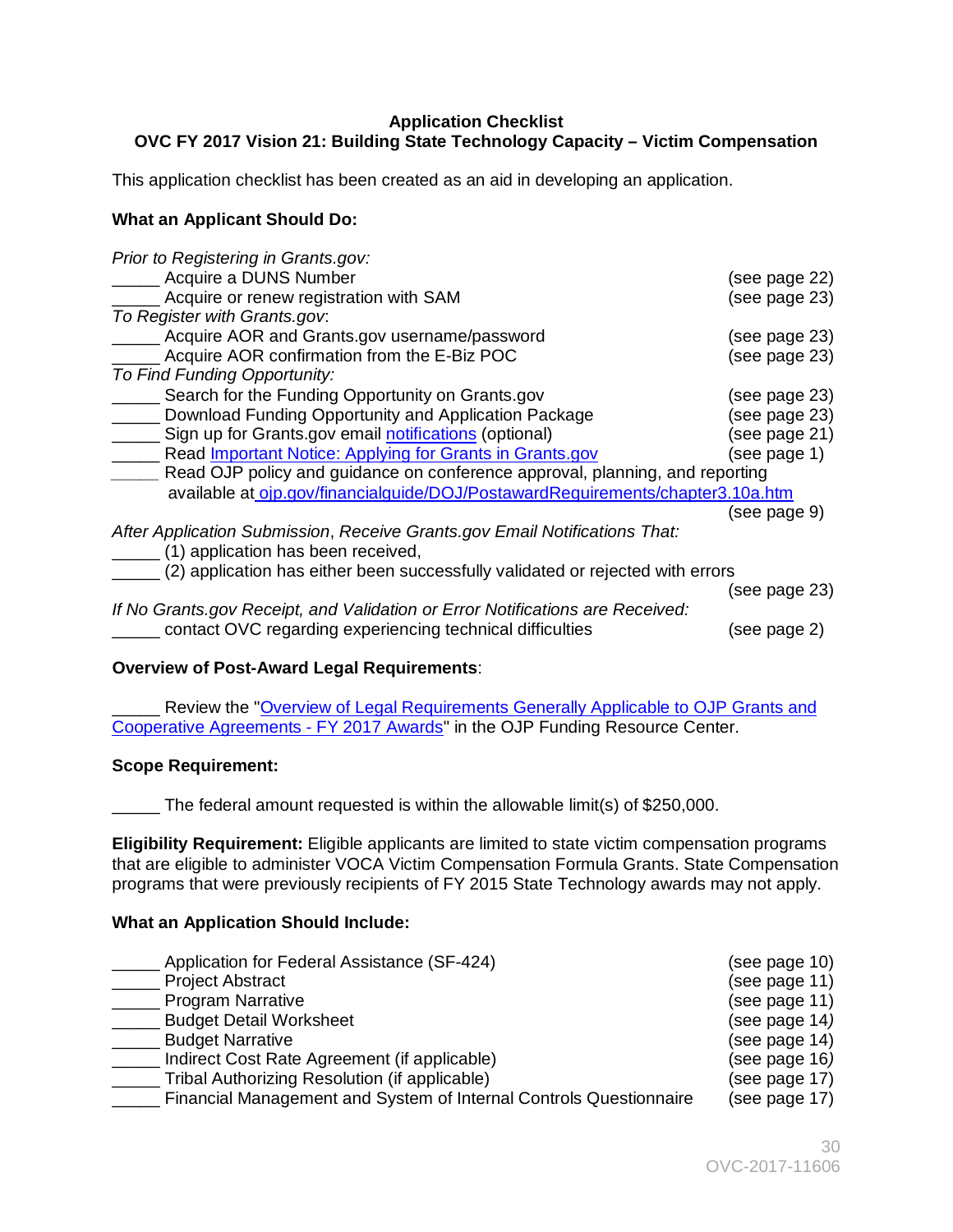# <span id="page-29-0"></span>**Application Checklist OVC FY 2017 Vision 21: Building State Technology Capacity – Victim Compensation**

This application checklist has been created as an aid in developing an application.

# **What an Applicant Should Do:**

| Prior to Registering in Grants.gov:                                            |               |
|--------------------------------------------------------------------------------|---------------|
| Acquire a DUNS Number                                                          | (see page 22) |
| Acquire or renew registration with SAM                                         | (see page 23) |
| To Register with Grants.gov.                                                   |               |
| Acquire AOR and Grants.gov username/password                                   | (see page 23) |
| Acquire AOR confirmation from the E-Biz POC                                    | (see page 23) |
| To Find Funding Opportunity:                                                   |               |
| Search for the Funding Opportunity on Grants.gov                               | (see page 23) |
| Download Funding Opportunity and Application Package                           | (see page 23) |
| Sign up for Grants.gov email notifications (optional)                          | (see page 21) |
| Read <b>Important Notice:</b> Applying for Grants in Grants.gov                | (see page 1)  |
| Read OJP policy and guidance on conference approval, planning, and reporting   |               |
| available at ojp.gov/financialguide/DOJ/PostawardRequirements/chapter3.10a.htm |               |
|                                                                                | (see page 9)  |
| After Application Submission, Receive Grants.gov Email Notifications That:     |               |
| (1) application has been received,                                             |               |
| (2) application has either been successfully validated or rejected with errors |               |
|                                                                                | (see page 23) |
| If No Grants.gov Receipt, and Validation or Error Notifications are Received:  |               |
| contact OVC regarding experiencing technical difficulties                      | (see page 2)  |

# **Overview of Post-Award Legal Requirements**:

**\_\_\_\_\_** Review the "Overview of Legal Requirements Generally Applicable to OJP Grants and [Cooperative Agreements -](http://ojp.gov/funding/Explore/SolicitationRequirements/index.htm) FY 2017 Awards" in the OJP Funding Resource Center.

# **Scope Requirement:**

\_\_\_\_\_ The federal amount requested is within the allowable limit(s) of \$250,000.

 programs that were previously recipients of FY 2015 State Technology awards may not apply. **Eligibility Requirement:** Eligible applicants are limited to state victim compensation programs that are eligible to administer VOCA Victim Compensation Formula Grants. State Compensation

# **What an Application Should Include:**

| Application for Federal Assistance (SF-424)                        | (see page 10) |
|--------------------------------------------------------------------|---------------|
| <b>Project Abstract</b>                                            | (see page 11) |
| <b>Program Narrative</b>                                           | (see page 11) |
| <b>Budget Detail Worksheet</b>                                     | (see page 14) |
| <b>Budget Narrative</b>                                            | (see page 14) |
| Indirect Cost Rate Agreement (if applicable)                       | (see page 16) |
| Tribal Authorizing Resolution (if applicable)                      | (see page 17) |
| Financial Management and System of Internal Controls Questionnaire | (see page 17) |
|                                                                    |               |